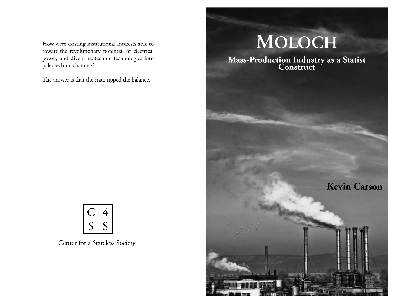How were existing institutional interests able to thwart the revolutionary potential of electrical power, and divert neotechnic technologies into paleotechnic channels?

The answer is that the state tipped the balance.



Center for a Stateless Society

# MOLOCH

Mass-Production Industry as a Statist<br>Construct

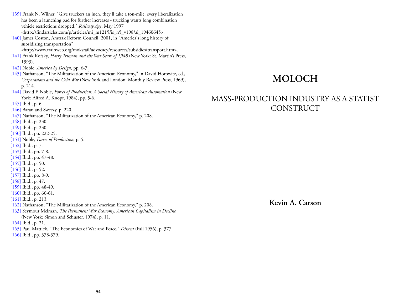- [139] Frank N. Wilner, "Give truckers an inch, they'll take a ton-mile: every liberalization has been a launching pad for further increases - trucking wants long combination vehicle restrictions dropped," Railway Age, May 1997 <http://findarticles.com/p/articles/mi\_m1215/is\_n5\_v198/ai\_19460645>.
- [140] James Coston, Amtrak Reform Council, 2001, in "America's long history of subsidizing transportation"
	- <http://www.trainweb.org/moksrail/advocacy/resources/subsidies/transport.htm>.
- [141] Frank Kofsky, Harry Truman and the War Scare of 1948 (New York: St. Martin's Press, 1993).
- [142] Noble, America by Design, pp. 6-7.
- [143] Nathanson, "The Militarization of the American Economy," in David Horowitz, ed., Corporations and the Cold War (New York and London: Monthly Review Press, 1969), p. 214.
- [144] David F. Noble, Forces of Production: A Social History of American Automation (New York: Alfred A. Knopf, 1984), pp. 5-6.
- $[145]$  Ibid., p. 6.
- [146] Baran and Sweezy, p. 220.
- [147] Nathanson, "The Militarization of the American Economy," p. 208.
- $[148]$  Ibid., p. 230.
- [149] Ibid., p. 230.
- [150] Ibid., pp. 222-25.
- [151] Noble, Forces of Production, p. 5.
- $[152]$  Ibid., p. 7.
- [153] Ibid., pp. 7-8.
- $[154]$  Ibid., pp. 47-48.
- [155] Ibid., p. 50.
- [156] Ibid., p. 52.
- [157] Ibid., pp. 8-9.
- [ $158$ ] Ibid., p. 47.
- [159] Ibid., pp. 48-49.
- $[160]$  Ibid., pp. 60-61.
- [161] Ibid., p. 213.
- [162] Nathanson, "The Militarization of the American Economy," p. 208.
- [163] Seymour Melman, The Permanent War Economy: American Capitalism in Decline (New York: Simon and Schuster, 1974), p. 11.
- $[164]$  Ibid., p. 21.
- [165] Paul Mattick, "The Economics of War and Peace," Dissent (Fall 1956), p. 377.
- $[166]$  Ibid., pp. 378-379.

## **MOLOCH**

## MASS-PRODUCTION INDUSTRY AS A STATIST CONSTRUCT

Kevin A. Carson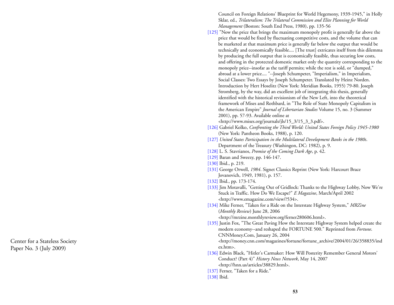Center for a Stateless Society Paper No. 3 (July 2009)

Council on Foreign Relations' Blueprint for World Hegemony, 1939-1945," in Holly Sklar, ed., Trilateralism: The Trilateral Commission and Elite Planning for World Management (Boston: South End Press, 1980), pp. 135-56

 $[125]$  "Now the price that brings the maximum monopoly profit is generally far above the price that would be fixed by fluctuating competitive costs, and the volume that can be marketed at that maximum price is generally far below the output that would be technically and economically feasible.... [The trust] extricates itself from this dilemma by producing the full output that is economically feasible, thus securing low costs, and offering in the protected domestic market only the quantity corresponding to the monopoly price--insofar as the tariff permits; while the rest is sold, or "dumped," abroad at a lower price.... "--Joseph Schumpeter, "Imperialism," in Imperialism, Social Classes: Two Essays by Joseph Schumpeter. Translated by Heinz Norden. Introduction by Hert Hoselitz (New York: Meridian Books, 1955) 79-80. Joseph Stromberg, by the way, did an excellent job of integrating this thesis, generally identified with the historical revisionism of the New Left, into the theoretical framework of Mises and Rothbard, in "The Role of State Monopoly Capitalism in the American Empire" *Journal of Libertarian Studies* Volume 15, no. 3 (Summer 2001), pp. 57-93. Available online at

<http://www.mises.org/journals/jls/15\_3/15\_3\_3.pdf>.

- [126] Gabriel Kolko, Confronting the Third World: United States Foreign Policy 1945-1980 (New York: Pantheon Books, 1988), p. 120.
- [127] United States Participation in the Multilateral Development Banks in the 1980s. Department of the Treasury (Washingon, DC: 1982), p. 9.
- [128] L. S. Stavrianos, *Promise of the Coming Dark Age*, p. 42.
- [129] Baran and Sweezy, pp. 146-147.
- $[130]$  Ibid., p. 219.
- [131] George Orwell, 1984. Signet Classics Reprint (New York: Harcourt Brace Jovanovich, 1949, 1981), p. 157.
- [132] Ibid., pp. 173-174.
- [133] Jim Motavalli, "Getting Out of Gridlock: Thanks to the Highway Lobby, Now We're Stuck in Traffic. How Do We Escape?" E Magazine, March/April 2002 <http://www.emagazine.com/view/?534>.
- [134] Mike Ferner, "Taken for a Ride on the Interstate Highway System," MRZine (*Monthly Review*) June 28, 2006 <http://mrzine.monthlyreview.org/ferner280606.html>.
- [135] Justin Fox, "The Great Paving How the Interstate Highway System helped create the modern economy--and reshaped the FORTUNE 500." Reprinted from Fortune. CNNMoney.Com, January 26, 2004

<http://money.cnn.com/magazines/fortune/fortune\_archive/2004/01/26/358835/ind ex.htm>.

- [136] Edwin Black, "Hitler's Carmaker: How Will Posterity Remember General Motors' Conduct? (Part 4)" History News Network, May 14, 2007 <http://hnn.us/articles/38829.html>.
- [137] Ferner, "Taken for a Ride."
- $[138]$  Ibid.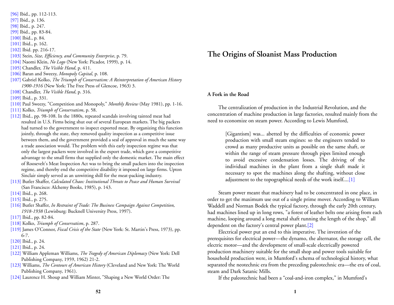- $[96]$  Ibid., pp. 112-113.
- [97] Ibid., p. 136.
- [98] Ibid., p. 247.
- [99] Ibid., pp. 83-84.
- $[100]$  Ibid., p. 84.
- [101] Ibid., p. 162.
- $[102]$  Ibid. pp. 216-17.
- [103] Stein, Size, Efficiency, and Community Enterprise, p. 79.
- [104] Naomi Klein, *No Logo* (New York: Picador, 1999), p. 14.
- [105] Chandler, The Visible Hand, p. 411.
- [106] Baran and Sweezy, Monopoly Capital, p. 108.
- [107] Gabriel Kolko, The Triumph of Conservatism: A Reinterpretation of American History 1900-1916 (New York: The Free Press of Glencoe, 1963) 3.
- [108] Chandler, The Visible Hand, p. 316.
- $[109]$  Ibid., p. 331.
- [110] Paul Sweezy, "Competition and Monopoly," Monthly Review (May 1981), pp. 1-16.
- [111] Kolko, Triumph of Conservatism, p. 58.
- [112] Ibid., pp. 98-108. In the 1880s, repeated scandals involving tainted meat had resulted in U.S. Firms being shut out of several European markets. The big packers had turned to the government to inspect exported meat. By organizing this function jointly, through the state, they removed quality inspection as a competitive issue between them, and the government provided a seal of approval in much the same way a trade association would. The problem with this early inspection regime was that only the largest packers were involved in the export trade, which gave a competitive advantage to the small firms that supplied only the domestic market. The main effect of Roosevelt's Meat Inspection Act was to bring the small packers into the inspection regime, and thereby end the competitive disability it imposed on large firms. Upton Sinclair simply served as an unwitting shill for the meat-packing industry.
- [113] Butler Shaffer, Calculated Chaos: Institutional Threats to Peace and Human Survival (San Francisco: Alchemy Books, 1985), p. 143.
- $[114]$  Ibid., p. 268.
- [115] Ibid., p. 275.
- [116] Butler Shaffer, In Restraint of Trade: The Business Campaign Against Competition, 1918-1938 (Lewisburg: Bucknell University Press, 1997).
- [117] Ibid., pp. 82-84.
- [118] Kolko, Triumph of Conservatism, p. 287.
- [119] James O'Connor, *Fiscal Crisis of the State* (New York: St. Martin's Press, 1973), pp.  $6-7.$
- $[120]$  Ibid., p. 24.
- [121] Ibid., p. 24.
- [122] William Appleman Williams, The Tragedy of American Diplomacy (New York: Dell Publishing Company, 1959, 1962) 21-2.
- [123] Williams, The Contours of American History (Cleveland and New York: The World Publishing Company, 1961).
- [124] Laurence H. Shoup and William Minter, "Shaping a New World Order: The

## The Origins of Sloanist Mass Production

#### A Fork in the Road

The centralization of production in the Industrial Revolution, and the concentration of machine production in large factories, resulted mainly from the need to economize on steam power. According to Lewis Mumford,

> [Gigantism] was... abetted by the difficulties of economic power production with small steam engines: so the engineers tended to crowd as many productive units as possible on the same shaft, or within the range of steam pressure through pipes limited enough to avoid excessive condensation losses. The driving of the individual machines in the plant from a single shaft made it necessary to spot the machines along the shafting, without close adjustment to the topographical needs of the work itself....[1]

Steam power meant that machinery had to be concentrated in one place, in order to get the maximum use out of a single prime mover. According to William Waddell and Norman Bodek the typical factory, through the early 20th century, had machines lined up in long rows, "a forest of leather belts one arising from each machine, looping around a long metal shaft running the length of the shop," all dependent on the factory's central power plant.[2]

Electrical power put an end to this imperative. The invention of the prerequisites for electrical power-the dynamo, the alternator, the storage cell, the electric motor—and the development of small-scale electrically powered production machinery suitable for the small shop and power tools suitable for household production were, in Mumford's schema of technological history, what separated the neotechnic era from the preceding paleotechnic era—the era of coal, steam and Dark Satanic Mills.

If the paleotechnic had been a "coal-and-iron complex," in Mumford's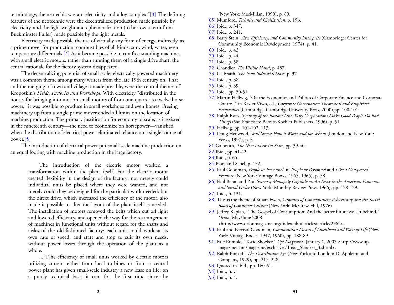terminology, the neotechic was an "electricity-and-alloy complex."[3] The defining features of the neotechnic were the decentralized production made possible by electricity, and the light weight and ephemeralization (to borrow a term from Buckminster Fuller) made possible by the light metals.

Electricity made possible the use of virtually any form of energy, indirectly, as a prime mover for production: combustibles of all kinds, sun, wind, water, even temperature differentials.  $[4]$  As it became possible to run free-standing machines with small electric motors, rather than running them off a single drive shaft, the central rationale for the factory system disappeared.

The decentralizing potential of small-scale, electrically powered machinery was a common theme among many writers from the late 19th century on. That, and the merging of town and village it made possible, were the central themes of Kropotkin's Fields, Factories and Workshops. With electricity "distributed in the houses for bringing into motion small motors of from one-quarter to twelve horsepower," it was possible to produce in small workshops and even homes. Freeing machinery up from a single prime mover ended all limits on the location of machine production. The primary justification for economy of scale, as it existed in the nineteenth century—the need to economize on horsepower—vanished when the distribution of electrical power eliminated reliance on a single source of power. $[5]$ 

The introduction of electrical power put small-scale machine production on an equal footing with machine production in the large factory.

> The introduction of the electric motor worked a transformation within the plant itself. For the electric motor created flexibility in the design of the factory: not merely could individual units be placed where they were wanted, and not merely could they be designed for the particular work needed: but the direct drive, which increased the efficiency of the motor, also made it possible to alter the layout of the plant itself as needed. The installation of motors removed the belts which cut off light and lowered efficiency, and opened the way for the rearrangement of machines in functional units without regard for the shafts and aisles of the old-fashioned factory: each unit could work at its own rate of speed, and start and stop to suit its own needs, without power losses through the operation of the plant as a whole.

> ...[T]he efficiency of small units worked by electric motors utilizing current either from local turbines or from a central power plant has given small-scale industry a new lease on life: on a purely technical basis it can, for the first time since the

(New York: MacMillan, 1990), p. 80.

- [65] Mumford, Technics and Civilization, p. 196.
- $[66]$  Ibid., p. 347.
- [67] Ibid., p. 241.
- [68] Barry Stein, Size, Efficiency, and Community Enterprise (Cambridge: Center for Community Economic Development, 1974), p. 41.
- $[69]$  Ibid., p. 43.
- [70] Ibid., p. 44.
- [71] Ibid., p. 58.
- [72] Chandler, The Visible Hand, p. 487.
- [73] Galbraith, The New Industrial State, p. 37.
- $[74]$  Ibid., p. 38.
- [75] Ibid., p. 39.
- [76] Ibid., pp.  $50-51$ .
- [77] Martin Hellwig, "On the Economics and Politics of Corporate Finance and Corporate Control," in Xavier Vives, ed., Corporate Governance: Theoretical and Empirical Perspectives (Cambridge: Cambridge University Press, 2000), pp. 100-101.
- [78] Ralph Estes, Tyranny of the Bottom Line: Why Corporations Make Good People Do Bad Things (San Francisco: Berrett-Koehler Publishers, 1996), p. 51.
- [79] Hellwig, pp. 101-102, 113.
- [80] Doug Henwood, Wall Street: How it Works and for Whom (London and New York: Verso, 1997), p. 3.
- [81] Galbraith, The New Industrial State, pp. 39-40.
- [82] Ibid., pp. 41-42.
- [83] Ibid., p. 65.
- [84] Piore and Sabel, p. 132.
- [85] Paul Goodman, People or Personnel, in People or Personnel and Like a Conquered Province (New York: Vintage Books, 1963, 1965), p. 58.
- [86] Paul Baran and Paul Sweezy, Monopoly Capitalism: An Essay in the American Economic and Social Order (New York: Monthly Review Press, 1966), pp. 128-129.
- [87] Ibid., p. 131.
- [88] This is the theme of Stuart Ewen, Captains of Consciousness: Advertising and the Social Roots of Consumer Culture (New York: McGraw-Hill, 1976).
- [89] Jeffrey Kaplan, "The Gospel of Consumption: And the better future we left behind," Orion, May/June 2008

<http://www.orionmagazine.org/index.php/articles/article/2962>.

- [90] Paul and Percival Goodman, Communitas: Means of Livelihood and Ways of Life (New York: Vintage Books, 1947, 1960), pp. 188-89.
- [91] Eric Rumble, "Toxic Shocker," Up! Magazine, January 1, 2007 <http://www.upmagazine.com/magazine/exclusives/Toxic\_Shocker\_3.shtml>.
- [92] Ralph Borsodi, The Distribution Age (New York and London: D. Appleton and Company, 1929), pp. 217, 228.
- [93] Quoted in Ibid., pp. 160-61.
- [94] Ibid., p. v.
- [95] Ibid., p.  $4$ .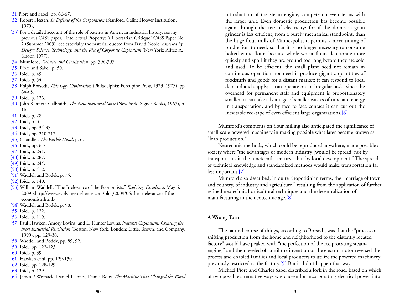[31] Piore and Sabel, pp. 66-67.

- [32] Robert Hessen, In Defense of the Corporation (Stanford, Calif.: Hoover Institution, 1979).
- [33] For a detailed account of the role of patents in American industrial history, see my previous C4SS paper, "Intellectual Property: A Libertarian Critique" C4SS Paper No. 2 (Summer 2009). See especially the material quoted from David Noble, America by Design: Science, Technology, and the Rise of Corporate Capitalism (New York: Alfred A. Knopf, 1977).
- [34] Mumford, Technics and Civilization, pp. 396-397.
- [35] Piore and Sabel, p. 50.
- $[36]$  Ibid., p. 49.
- $[37]$  Ibid., p. 54.
- [38] Ralph Borsodi, This Ugly Civilization (Philadelphia: Porcupine Press, 1929, 1975), pp.  $64-65.$
- [39] Ibid., p. 126.
- [40] John Kenneth Galbraith, The New Industrial State (New York: Signet Books, 1967), p. 16
- $[41]$  Ibid., p. 28.
- [42] Ibid., p. 31.
- $[43]$  Ibid., pp. 34-35.
- [44] Ibid., pp. 210-212.
- [45] Chandler, The Visible Hand, p. 6.
- [46] Ibid., pp. 6-7.
- $[47]$  Ibid., p. 241.
- [48] Ibid., p. 287.
- $[49]$  Ibid., p. 244.
- $[50]$  Ibid., p. 412.
- [51] Waddell and Bodek, p. 75.
- [52] Ibid., p. 140.
- [53] William Waddell, "The Irrelevance of the Economists," Evolving Excellence, May 6, 2009 <http://www.evolvingexcellence.com/blog/2009/05/the-irrelevance-of-theeconomists.html>.
- [54] Waddell and Bodek, p. 98.
- [55] Ibid., p. 122.
- [56] Ibid., p. 119.
- [57] Paul Hawken, Amory Lovins, and L. Hunter Lovins, Natural Capitalism: Creating the Next Industrial Revolution (Boston, New York, London: Little, Brown, and Company, 1999), pp. 129-30.
- [58] Waddell and Bodek, pp. 89, 92.
- [59] Ibid., pp. 122-123.
- $[60]$  Ibid., p. 39.
- [61] Hawken et al, pp. 129-130.
- [62] Ibid., pp. 128-129.
- $[63]$  Ibid., p. 129.
- [64] James P. Womack, Daniel T. Jones, Daniel Roos, The Machine That Changed the World

introduction of the steam engine, compete on even terms with the larger unit. Even domestic production has become possible again through the use of electricity: for if the domestic grain grinder is less efficient, from a purely mechanical standpoint, than the huge flour mills of Minneapolis, it permits a nicer timing of production to need, so that it is no longer necessary to consume bolted white flours because whole wheat flours deteriorate more quickly and spoil if they are ground too long before they are sold and used. To be efficient, the small plant need not remain in continuous operation nor need it produce gigantic quantities of foodstuffs and goods for a distant market: it can respond to local demand and supply; it can operate on an irregular basis, since the overhead for permanent staff and equipment is proportionately smaller; it can take advantage of smaller wastes of time and energy in transportation, and by face to face contact it can cut out the inevitable red-tape of even efficient large organizations. [6]

Mumford's comments on flour milling also anticipated the significance of small-scale powered machinery in making possible what later became known as "lean production."

Neotechnic methods, which could be reproduced anywhere, made possible a society where "the advantages of modern industry [would] be spread, not by transport—as in the nineteenth century—but by local development." The spread of technical knowledge and standardized methods would make transportation far less important.<sup>[7]</sup>

Mumford also described, in quite Kropotkinian terms, the "marriage of town and country, of industry and agriculture," resulting from the application of further refined neotechnic horticultural techniques and the decentralization of manufacturing in the neotechnic age.<sup>[8]</sup>

#### A Wrong Turn

The natural course of things, according to Borsodi, was that the "process of shifting production from the home and neighborhood to the distantly located factory" would have peaked with "the perfection of the reciprocating steamengine," and then leveled off until the invention of the electric motor reversed the process and enabled families and local producers to utilize the powered machinery previously restricted to the factory.[9] But it didn't happen that way.

Michael Piore and Charles Sabel described a fork in the road, based on which of two possible alternative ways was chosen for incorporating electrical power into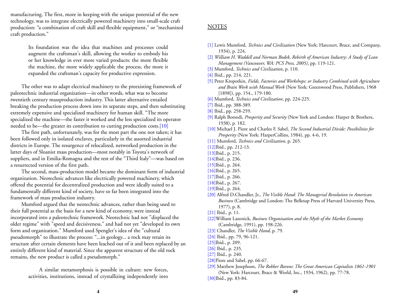manufacturing. The first, more in keeping with the unique potential of the new technology, was to integrate electrically powered machinery into small-scale craft production: "a combination of craft skill and flexible equipment," or "mechanized craft production."

> Its foundation was the idea that machines and processes could augment the craftsman's skill, allowing the worker to embody his or her knowledge in ever more varied products: the more flexible the machine, the more widely applicable the process, the more it expanded the craftsman's capacity for productive expression.

The other was to adapt electrical machinery to the preexisting framework of paleotechnic industrial organization-in other words, what was to become twentieth century massproduction industry. This latter alternative entailed breaking the production process down into its separate steps, and then substituting extremely expensive and specialized machinery for human skill. "The more specialized the machine-the faster it worked and the less specialized its operator needed to be—the greater its contribution to cutting production costs.[10]

The first path, unfortunately, was for the most part the one not taken; it has been followed only in isolated enclaves, particularly in the assorted industrial districts in Europe. The resurgence of relocalized, networked production in the latter days of Sloanist mass production-most notably in Toyota's network of suppliers, and in Emilia-Romagna and the rest of the "Third Italy"—was based on a resurrected version of the first path.

The second, mass-production model became the dominant form of industrial organization. Neotechnic advances like electrically powered machinery, which offered the potential for decentralized production and were ideally suited to a fundamentally different kind of society, have so far been integrated into the framework of mass production industry.

Mumford argued that the neotechnic advances, rather than being used to their full potential as the basis for a new kind of economy, were instead incorporated into a paleotechnic framework. Neotechnic had not "displaced the older regime" with "speed and decisiveness," and had not yet "developed its own form and organization." Mumford used Spengler's idea of the "cultural pseudomorph" to illustrate the process: "...in geology... a rock may retain its structure after certain elements have been leached out of it and been replaced by an entirely different kind of material. Since the apparent structure of the old rock remains, the new product is called a pseudomorph."

A similar metamorphosis is possible in culture: new forces, activities, institutions, instead of crystallizing independently into

### **NOTES**

- [1] Lewis Mumford, *Technics and Civilization* (New York: Harcourt, Brace, and Company, 1934), p. 224.
- [2] William H. Waddell and Norman Bodek, Rebirth of American Industry: A Study of Lean Management (Vancouver, WA: PCS Press, 2005), pp. 119-121.
- [3] Mumford, Technics and Civilization, p. 110.
- [4] Ibid., pp. 214, 221.
- [5] Peter Kropotkin, Fields, Factories and Workshops: or Industry Combined with Agriculture and Brain Work with Manual Work (New York: Greenwood Press, Publishers, 1968)  $[1898]$ , pp. 154., 179-180.
- [6] Mumford, Technics and Civilization, pp. 224-225.
- [7] Ibid., pp. 388-389.
- $[8]$  Ibid., pp. 258-259.
- [9] Ralph Borsodi, Prosperity and Security (New York and London: Harper & Brothers, 1938), p. 182.
- [10] Michael J. Piore and Charles F. Sabel, The Second Industrial Divide: Possibilities for *Prosperity* (New York: HarperCollins, 1984), pp. 4-6, 19.
- [11] Mumford, Technics and Civilization, p. 265.
- [12] Ibid., pp. 212-13.
- $[13]$ Ibid., p. 215.
- [14]Ibid., p. 236.
- [15] Ibid., p. 264.
- [16]Ibid., p. 265.
- $[17]$ Ibid., p. 266.
- [18] Ibid., p. 267.
- [19] Ibid., p. 264.
- [20] Alfred D.Chandler, Jr., The Visible Hand: The Managerial Revolution in American Business (Cambridge and London: The Belknap Press of Harvard University Press, 1977), p. 8.
- $[21]$  Ibid., p. 11.
- [22] William Lazonick, Business Organization and the Myth of the Market Economy (Cambridge, 1991), pp. 198-226.
- [23] Chandler, The Visible Hand, p. 79.
- $[24]$  Ibid., pp. 79, 96-121.
- $[25]$ Ibid., p. 209.
- [26] Ibid., p. 235.
- [ $27$ ] Ibid., p.  $240$ .
- [28] Piore and Sabel, pp. 66-67.
- [29] Matthew Josephson, The Robber Barons: The Great American Capitalists 1861-1901 (New York: Harcourt, Brace & World, Inc., 1934, 1962), pp. 77-78.

 $[30]$ Ibid., pp. 83-84.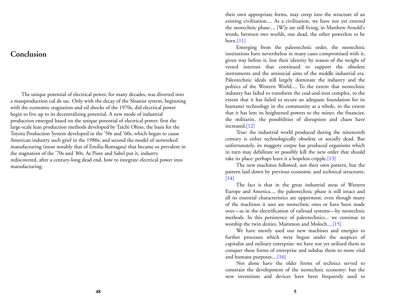## Conclusion

The unique potential of electrical power, for many decades, was diverted into a massproduction cul de sac. Only with the decay of the Sloanist system, beginning with the economic stagnation and oil shocks of the 1970s, did electrical power begin to live up to its decentralizing potential. A new mode of industrial production emerged based on the unique potential of electrical power: first the large-scale lean production methods developed by Taichi Ohno, the basis for the Toyota Production System developed in the '50s and '60s, which began to cause American industry such grief in the 1980s; and second the model of networked manufacturing (most notably that of Emilia-Romagna) that became so prevalent in the stagnation of the '70s and '80s. As Piore and Sabel put it, industry rediscovered, after a century-long dead end, how to integrate electrical power into manufacturing.

their own appropriate forms, may creep into the structure of an existing civilization.... As a civilization, we have not yet entered the neotechnic phase.... [W]e are still living, in Matthew Arnold's words, between two worlds, one dead, the other powerless to be  $born.[11]$ 

Emerging from the paleotechnic order, the neotechnic institutions have nevertheless in many cases compromised with it, given way before it, lost their identity by reason of the weight of vested interests that continued to support the obsolete instruments and the antisocial aims of the middle industrial era. Paleotechnic ideals still largely dominate the industry and the politics of the Western World.... To the extent that neotechnic industry has failed to transform the coal-and-iron complex, to the extent that it has failed to secure an adequate foundation for its humaner technology in the community as a whole, to the extent that it has lent its heightened powers to the miner, the financier, the militarist, the possibilities of disruption and chaos have increased.<sup>[12]</sup>

True: the industrial world produced during the nineteenth century is either technologically obsolete or socially dead. But unfortunately, its maggoty corpse has produced organisms which in turn may debilitate or possibly kill the new order that should take its place: perhaps leave it a hopeless cripple.[13]

The new machines followed, not their own pattern, but the pattern laid down by previous economic and technical structures.  $|14|$ 

The fact is that in the great industrial areas of Western Europe and America..., the paleotechnic phase is still intact and all its essential characteristics are uppermost, even though many of the machines it uses are neotechnic ones or have been made over-as in the electrification of railroad systems-by neotechnic methods. In this persistence of paleotechnics... we continue to worship the twin deities, Mammon and Moloch....[15]

We have merely used our new machines and energies to further processes which were begun under the auspices of capitalist and military enterprise: we have not yet utilized them to conquer these forms of enterprise and subdue them to more vital and humane purposes....[16]

Not alone have the older forms of technics served to constrain the development of the neotechnic economy: but the new inventions and devices have been frequently used to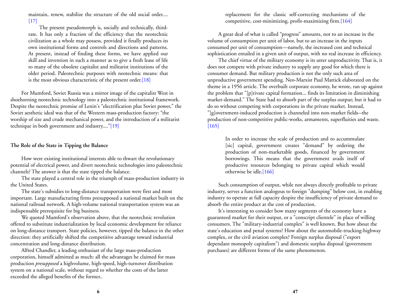maintain, renew, stabilize the structure of the old social order....  $[17]$ 

The present pseudomorph is, socially and technically, thirdrate. It has only a fraction of the efficiency that the neotechnic civilization as a whole may possess, provided it finally produces its own institutional forms and controls and directions and patterns. At present, instead of finding these forms, we have applied our skill and invention in such a manner as to give a fresh lease of life to many of the obsolete capitalist and militarist institutions of the older period. Paleotechnic purposes with neotechnic means: that is the most obvious characteristic of the present order.[18]

For Mumford, Soviet Russia was a mirror image of the capitalist West in shoehorning neotechnic technology into a paleotechnic institutional framework. Despite the neotechnic promise of Lenin's "electrification plus Soviet power," the Soviet aesthetic ideal was that of the Western mass-production factory: "the worship of size and crude mechanical power, and the introduction of a militarist technique in both government and industry...."[19]

#### The Role of the State in Tipping the Balance

How were existing institutional interests able to thwart the revolutionary potential of electrical power, and divert neotechnic technologies into paleotechnic channels? The answer is that the state tipped the balance.

The state played a central role in the triumph of mass-production industry in the United States.

The state's subsidies to long-distance transportation were first and most important. Large manufacturing firms presupposed a national market built on the national railroad network. A high-volume national transportation system was an indispensable prerequisite for big business.

We quoted Mumford's observation above, that the neotechnic revolution offered to substitute industrialization by local economic development for reliance on long-distance transport. State policies, however, tipped the balance in the other direction: they artificially shifted the competitive advantage toward industrial concentration and long-distance distribution.

Alfred Chandler, a leading enthusiast of the large mass-production corporation, himself admitted as much: all the advantages he claimed for mass production presupposed a highvolume, high-speed, high-turnover distribution system on a national scale, without regard to whether the costs of the latter exceeded the alleged benefits of the former...

replacement for the classic self-correcting mechanisms of the competitive, cost-minimizing, profit-maximizing firm.[164]

A great deal of what is called "progress" amounts, not to an increase in the volume of consumption per unit of labor, but to an increase in the inputs consumed per unit of consumption—namely, the increased cost and technical sophistication entailed in a given unit of output, with no real increase in efficiency.

The chief virtue of the military economy is its utter unproductivity. That is, it does not compete with private industry to supply any good for which there is consumer demand. But military production is not the only such area of unproductive government spending. Neo-Marxist Paul Mattick elaborated on the theme in a 1956 article. The overbuilt corporate economy, he wrote, ran up against the problem that "[p]rivate capital formation... finds its limitation in diminishing market-demand." The State had to absorb part of the surplus output; but it had to do so without competing with corporations in the private market. Instead, "[g]overnment-induced production is channeled into non-market fields--the production of non-competitive public-works, armaments, superfluities and waste.  $[165]$ 

In order to increase the scale of production and to accummulate [sic] capital, government creates "demand" by ordering the production of non-marketable goods, financed by government borrowings. This means that the government avails itself of productive resources belonging to private capital which would otherwise be idle.<sup>[166]</sup>

Such consumption of output, while not always directly profitable to private industry, serves a function analogous to foreign "dumping" below cost, in enabling industry to operate at full capacity despite the insufficiency of private demand to absorb the entire product at the cost of production.

It's interesting to consider how many segments of the economy have a guaranteed market for their output, or a "conscript clientele" in place of willing consumers. The "military-industrial complex" is well known. But how about the state's education and penal systems? How about the automobile-trucking-highway complex, or the civil aviation complex? Foreign surplus disposal ("export dependant monopoly capitalism") and domestic surplus disposal (government purchases) are different forms of the same phenomenon.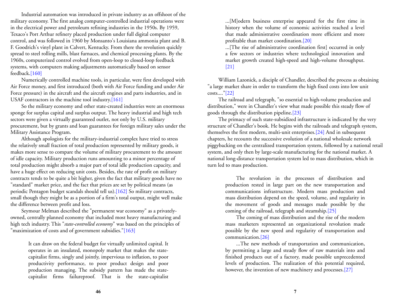Industrial automation was introduced in private industry as an offshoot of the military economy. The first analog computer-controlled industrial operations were in the electrical power and petroleum refining industries in the 1950s. By 1959, Texaco's Port Arthur refinery placed production under full digital computer control, and was followed in 1960 by Monsanto's Louisiana ammonia plant and B. F. Goodrich's vinyl plant in Calvert, Kentucky. From there the revolution quickly spread to steel rolling mills, blast furnaces, and chemical processing plants. By the 1960s, computerized control evolved from open-loop to closed-loop feedback systems, with computers making adjustments automatically based on sensor feedback.[160]

Numerically controlled machine tools, in particular, were first developed with Air Force money, and first introduced (both with Air Force funding and under Air Force pressure) in the aircraft and the aircraft engines and parts industries, and in USAF contractors in the machine tool industry.[161]

So the military economy and other state-created industries were an enormous sponge for surplus capital and surplus output. The heavy industrial and high tech sectors were given a virtually guaranteed outlet, not only by U.S. military procurement, but by grants and loan guarantees for foreign military sales under the Military Assistance Program.

Although apologists for the military-industrial complex have tried to stress the relatively small fraction of total production represented by military goods, it makes more sense to compare the volume of military procurement to the amount of idle capacity. Military production runs amounting to a minor percentage of total production might absorb a major part of total idle production capacity, and have a huge effect on reducing unit costs. Besides, the rate of profit on military contracts tends to be quite a bit higher, given the fact that military goods have no "standard" market price, and the fact that prices are set by political means (as periodic Pentagon budget scandals should tell us).[162] So military contracts, small though they might be as a portion of a firm's total output, might well make the difference between profit and loss.

Seymour Melman described the "permanent war economy" as a privatelyowned, centrally planned economy that included most heavy manufacturing and high tech industry. This "state-controlled economy" was based on the principles of "maximization of costs and of government subsidies."[163]

> It can draw on the federal budget for virtually unlimited capital. It operates in an insulated, monopoly market that makes the statecapitalist firms, singly and jointly, impervious to inflation, to poor productivity performance, to poor product design and poor production managing. The subsidy pattern has made the statecapitalist firms failureproof. That is the state-capitalist

...[M] odern business enterprise appeared for the first time in history when the volume of economic activities reached a level that made administrative coordination more efficient and more profitable than market coordination.[20]

...[The rise of administrative coordination first] occurred in only a few sectors or industries where technological innovation and market growth created high-speed and high-volume throughput.  $\lceil 21 \rceil$ 

William Lazonick, a disciple of Chandler, described the process as obtaining "a large market share in order to transform the high fixed costs into low unit  $costs....$ "[22]

The railroad and telegraph, "so essential to high-volume production and distribution," were in Chandler's view what made possible this steady flow of goods through the distribution pipeline.[23]

The primacy of such state-subsidized infrastructure is indicated by the very structure of Chandler's book. He begins with the railroads and telegraph system, themselves the first modern, multi-unit enterprises. [24] And in subsequent chapters, he recounts the successive evolution of a national wholesale network piggybacking on the centralized transportation system, followed by a national retail system, and only then by large-scale manufacturing for the national market. A national long-distance transportation system led to mass distribution, which in turn led to mass production.

The revolution in the processes of distribution and production rested in large part on the new transportation and communications infrastructure. Modern mass production and mass distribution depend on the speed, volume, and regularity in the movement of goods and messages made possible by the coming of the railroad, telegraph and steamship.[25]

The coming of mass distribution and the rise of the modern mass marketers represented an organizational revolution made possible by the new speed and regularity of transportation and communication.<sup>[26]</sup>

...The new methods of transportation and communication, by permitting a large and steady flow of raw materials into and finished products out of a factory, made possible unprecedented levels of production. The realization of this potential required, however, the invention of new machinery and processes.[27]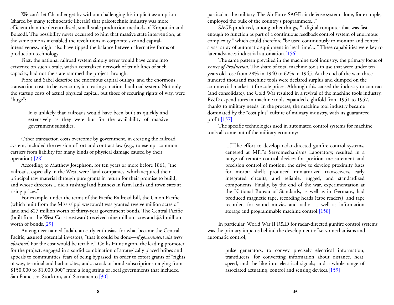We can't let Chandler get by without challenging his implicit assumption (shared by many technocratic liberals) that paleotechnic industry was more efficient than the decentralized, small-scale production methods of Kropotkin and Borsodi. The possibility never occurred to him that massive state intervention, at the same time as it enabled the revolutions in corporate size and capitalintensiveness, might also have tipped the balance between alternative forms of production technology.

First, the national railroad system simply never would have come into existence on such a scale, with a centralized network of trunk lines of such capacity, had not the state rammed the project through.

Piore and Sabel describe the enormous capital outlays, and the enormous transaction costs to be overcome, in creating a national railroad system. Not only the startup costs of actual physical capital, but those of securing rights of way, were "huge":

It is unlikely that railroads would have been built as quickly and extensively as they were but for the availability of massive government subsidies.

Other transaction costs overcome by government, in creating the railroad system, included the revision of tort and contract law (e.g., to exempt common carriers from liability for many kinds of physical damage caused by their operation).[28]

According to Matthew Josephson, for ten years or more before 1861, "the railroads, especially in the West, were 'land companies' which acquired their principal raw material through pure grants in return for their promise to build, and whose directors... did a rushing land business in farm lands and town sites at rising prices."

For example, under the terms of the Pacific Railroad bill, the Union Pacific (which built from the Mississippi westward) was granted twelve million acres of land and \$27 million worth of thirty-year government bonds. The Central Pacific (built from the West Coast eastward) received nine million acres and \$24 million worth of bonds.[29]

An engineer named Judah, an early enthusiast for what became the Central Pacific, assured potential investors, "that it could be done—if government aid were *obtained*. For the cost would be terrible." Collis Huntington, the leading promoter for the project, engaged in a sordid combination of strategically placed bribes and appeals to communities' fears of being bypassed, in order to extort grants of "rights" of way, terminal and harbor sites, and... stock or bond subscriptions ranging from \$150,000 to \$1,000,000" from a long string of local governments that included San Francisco, Stockton, and Sacramento.[30]

particular, the military. The Air Force SAGE air defense system alone, for example, employed the bulk of the country's programmers..."

SAGE produced, among other things, "a digital computer that was fast enough to function as part of a continuous feedback control system of enormous complexity," which could therefore "be used continuously to monitor and control a vast array of automatic equipment in 'real time'...." These capabilities were key to later advances industrial automation.[156]

The same pattern prevailed in the machine tool industry, the primary focus of Forces of Production. The share of total machine tools in use that were under ten years old rose from 28% in 1940 to 62% in 1945. At the end of the war, three hundred thousand machine tools were declared surplus and dumped on the commercial market at fire-sale prices. Although this caused the industry to contract (and consolidate), the Cold War resulted in a revival of the machine tools industry. R&D expenditures in machine tools expanded eightfold from 1951 to 1957, thanks to military needs. In the process, the machine tool industry became dominated by the "cost plus" culture of military industry, with its guaranteed profit.[157]

The specific technologies used in automated control systems for machine tools all came out of the military economy:

> ...[T]he effort to develop radar-directed gunfire control systems, centered at MIT's Servomechanisms Laboratory, resulted in a range of remote control devices for position measurement and precision control of motion; the drive to develop proximity fuses for mortar shells produced miniaturized transceivers, early integrated circuits, and reliable, rugged, and standardized components. Finally, by the end of the war, experimentation at the National Bureau of Standards, as well as in Germany, had produced magnetic tape, recording heads (tape readers), and tape recorders for sound movies and radio, as well as information storage and programmable machine control.[158]

In particular, World War II R&D for radar-directed gunfire control systems was the primary impetus behind the development of servomechanisms and automatic control,

> pulse generators, to convey precisely electrical information; transducers, for converting information about distance, heat, speed, and the like into electrical signals; and a whole range of associated actuating, control and sensing devices.[159]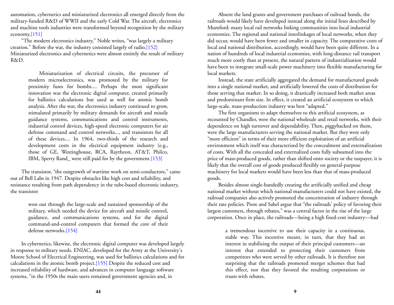automation, cybernetics and miniaturized electronics all emerged directly from the military-funded R&D of WWII and the early Cold War. The aircraft, electronics and machine tools industries were transformed beyond recognition by the military economy. $[151]$ 

"The modern electronics industry," Noble writes, "was largely a military creation." Before the war, the industry consisted largely of radio.[152] Miniaturized electronics and cybernetics were almost entirely the result of military R&D.

> Miniaturization of electrical circuits, the precursor of modern microelectronics, was promoted by the military for proximity fuses for bombs.... Perhaps the most significant innovation was the electronic digital computer, created primarily for ballistics calculations but used as well for atomic bomb analysis. After the war, the electronics industry continued to grow, stimulated primarily by military demands for aircraft and missile guidance systems, communications and control instruments, industrial control devices, high-speed electronic computers for air defense command and control networks..., and transistors for all of these devices.... In 1964, two-thirds of the research and development costs in the electrical equipment industry (e.g., those of GE, Westinghouse, RCA, Raytheon, AT&T, Philco, IBM, Sperry Rand\_ were still paid for by the government.[153]

The transistor, "the outgrowth of wartime work on semi-conductors," came out of Bell Labs in 1947. Despite obstacles like high cost and reliability, and resistance resulting from path dependency in the tube-based electronic industry, the transistor

> won out through the large-scale and sustained sponsorship of the military, which needed the device for aircraft and missile control, guidance, and communications systems, and for the digital command-and-control computers that formed the core of their defense networks.[154]

In cybernetics, likewise, the electronic digital computer was developed largely in response to military needs. ENIAC, developed for the Army at the University's Moore School of Electrical Engineering, was used for ballistics calculations and for calculations in the atomic bomb project.[155] Despite the reduced cost and increased reliability of hardware, and advances in computer language software systems, "in the 1950s the main users remained government agencies and, in

Absent the land grants and government purchases of railroad bonds, the railroads would likely have developed instead along the initial lines described by Mumford: many local rail networks linking communities into local industrial economies. The regional and national interlinkages of local networks, when they did occur, would have been fewer and smaller in capacity. The comparative costs of local and national distribution, accordingly, would have been quite different. In a nation of hundreds of local industrial economies, with long-distance rail transport much more costly than at present, the natural pattern of industrialization would have been to integrate small-scale power machinery into flexible manufacturing for local markets.

Instead, the state artificially aggregated the demand for manufactured goods into a single national market, and artificially lowered the costs of distribution for those serving that market. In so doing, it drastically increased both market areas and predominant firm size. In effect, it created an artificial ecosystem to which large-scale, mass-production industry was best "adapted."

The first organisms to adapt themselves to this artificial ecosystem, as recounted by Chandler, were the national wholesale and retail networks, with their dependence on high turnover and dependability. Then, piggybacked on them, were the large manufacturers serving the national market. But they were only "more efficient" in terms of their more efficient exploitation of an artificial environment which itself was characterized by the concealment and externalization of costs. With all the concealed and externalized costs fully subsumed into the price of mass-produced goods, rather than shifted onto society or the taxpayer, it is likely that the overall cost of goods produced flexibly on general-purpose machinery for local markets would have been less than that of mass-produced goods.

Besides almost single-handedly creating the artificially unified and cheap national market without which national manufacturers could not have existed, the railroad companies also actively promoted the concentration of industry through their rate policies. Piore and Sabel argue that "the railroads' policy of favoring their largest customers, through rebates," was a central factor in the rise of the large corporation. Once in place, the railroads-being a high fixed-cost industry-had

a tremendous incentive to use their capacity in a continuous, stable way. This incentive meant, in turn, that they had an interest in stabilizing the output of their principal customers-an interest that extended to protecting their customers from competitors who were served by other railroads. It is therefore not surprising that the railroads promoted merger schemes that had this effect, nor that they favored the resulting corporations or trusts with rebates.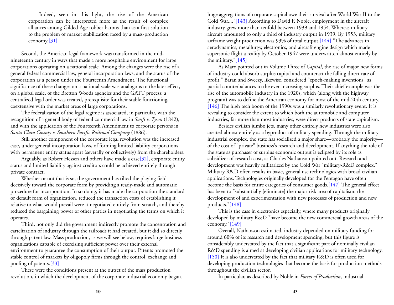Indeed, seen in this light, the rise of the American corporation can be interpreted more as the result of complex alliances among Gilded Age robber barons than as a first solution to the problem of market stabilization faced by a mass-production economy. $[31]$ 

Second, the American legal framework was transformed in the midnineteenth century in ways that made a more hospitable environment for large corporations operating on a national scale. Among the changes were the rise of a general federal commercial law, general incorporation laws, and the status of the corporation as a person under the Fourteenth Amendment. The functional significance of these changes on a national scale was analogous to the later effect, on a global scale, of the Bretton Woods agencies and the GATT process: a centralized legal order was created, prerequisite for their stable functioning, coextensive with the market areas of large corporations.

The federalization of the legal regime is associated, in particular, with the recognition of a general body of federal commercial law in Swift v. Tyson (1842), and with the application of the Fourteenth Amendment to corporate persons in Santa Clara County v. Southern Pacific Railroad Company (1886).

Still another component of the corporate legal revolution was the increased ease, under general incorporation laws, of forming limited liability corporations with permanent entity status apart (severally or collectively) from the shareholders.

Arguably, as Robert Hessen and others have made a case[32], corporate entity status and limited liability against creditors could be achieved entirely through private contract.

Whether or not that is so, the government has tilted the playing field decisively toward the corporate form by providing a ready-made and automatic procedure for incorporation. In so doing, it has made the corporation the standard or default form of organization, reduced the transaction costs of establishing it relative to what would prevail were it negotiated entirely from scratch, and thereby reduced the bargaining power of other parties in negotiating the terms on which it operates.

Third, not only did the government indirectly promote the concentration and cartelization of industry through the railroads it had created, but it did so directly through patent law. Mass production, as we will see below, requires large business organizations capable of exercising sufficient power over their external environment to guarantee the consumption of their output. Patents promoted the stable control of markets by oligopoly firms through the control, exchange and pooling of patents.[33]

These were the conditions present at the outset of the mass production revolution, in which the development of the corporate industrial economy began. huge aggregations of corporate capital owe their survival after World War II to the Cold War...."[143] According to David F. Noble, employment in the aircraft industry grew more than tenfold between 1939 and 1954. Whereas military aircraft amounted to only a third of industry output in 1939. By 1953, military airframe weight production was 93% of total output. [144] "The advances in aerodynamics, metallurgy, electronics, and aircraft engine design which made supersonic flight a reality by October 1947 were underwritten almost entirely by the military." $[145]$ 

As Marx pointed out in Volume Three of *Capital*, the rise of major new forms of industry could absorb surplus capital and counteract the falling direct rate of profit." Baran and Sweezy, likewise, considered "epoch-making inventions" as partial counterbalances to the ever-increasing surplus. Their chief example was the rise of the automobile industry in the 1920s, which (along with the highway program) was to define the American economy for most of the mid-20th century. [146] The high tech boom of the 1990s was a similarly revolutionary event. It is revealing to consider the extent to which both the automobile and computer industries, far more than most industries, were direct products of state capitalism.

Besides civilian jumbo jets, many other entirely new industries were also created almost entirely as a byproduct of military spending. Through the militaryindustrial complex, the state has socialized a major share—probably the majority of the cost of "private" business's research and development. If anything the role of the state as purchaser of surplus economic output is eclipsed by its role as subsidizer of research cost, as Charles Nathanson pointed out. Research and development was heavily militarized by the Cold War "military-R&D complex." Military R&D often results in basic, general use technologies with broad civilian applications. Technologies originally developed for the Pentagon have often become the basis for entire categories of consumer goods. [147] The general effect has been to "substantially [eliminate] the major risk area of capitalism: the development of and experimentation with new processes of production and new products." $[148]$ 

This is the case in electronics especially, where many products originally developed by military R&D "have become the new commercial growth areas of the economy." $[149]$ 

Overall, Nathanson estimated, industry depended on military funding for around 60% of its research and development spending; but this figure is considerably understated by the fact that a significant part of nominally civilian R&D spending is aimed at developing civilian applications for military technology. [150] It is also understated by the fact that military R&D is often used for developing production technologies that become the basis for production methods throughout the civilian sector.

In particular, as described by Noble in Forces of Production, industrial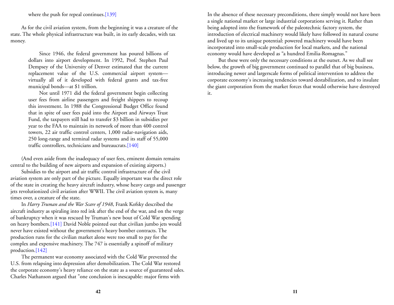where the push for repeal continues.[139]

As for the civil aviation system, from the beginning it was a creature of the state. The whole physical infrastructure was built, in its early decades, with tax money.

> Since 1946, the federal government has poured billions of dollars into airport development. In 1992, Prof. Stephen Paul Dempsey of the University of Denver estimated that the current replacement value of the U.S. commercial airport systemvirtually all of it developed with federal grants and tax-free municipal bonds—at \$1 trillion.

> Not until 1971 did the federal government begin collecting user fees from airline passengers and freight shippers to recoup this investment. In 1988 the Congressional Budget Office found that in spite of user fees paid into the Airport and Airways Trust Fund, the taxpayers still had to transfer \$3 billion in subsidies per year to the FAA to maintain its network of more than 400 control towers, 22 air traffic control centers, 1,000 radar-navigation aids, 250 long-range and terminal radar systems and its staff of 55,000 traffic controllers, technicians and bureaucrats.<sup>[140]</sup>

(And even aside from the inadequacy of user fees, eminent domain remains central to the building of new airports and expansion of existing airports.)

Subsidies to the airport and air traffic control infrastructure of the civil aviation system are only part of the picture. Equally important was the direct role of the state in creating the heavy aircraft industry, whose heavy cargo and passenger jets revolutionized civil aviation after WWII. The civil aviation system is, many times over, a creature of the state.

In Harry Truman and the War Scare of 1948, Frank Kofsky described the aircraft industry as spiraling into red ink after the end of the war, and on the verge of bankruptcy when it was rescued by Truman's new bout of Cold War spending on heavy bombers. [141] David Noble pointed out that civilian jumbo jets would never have existed without the government's heavy bomber contracts. The production runs for the civilian market alone were too small to pay for the complex and expensive machinery. The 747 is essentially a spinoff of military production.[142]

The permanent war economy associated with the Cold War prevented the U.S. from relapsing into depression after demobilization. The Cold War restored the corporate economy's heavy reliance on the state as a source of guaranteed sales. Charles Nathanson argued that "one conclusion is inescapable: major firms with

In the absence of these necessary preconditions, there simply would not have been a single national market or large industrial corporations serving it. Rather than being adopted into the framework of the paleotechnic factory system, the introduction of electrical machinery would likely have followed its natural course and lived up to its unique potential: powered machinery would have been incorporated into small-scale production for local markets, and the national economy would have developed as "a hundred Emilia-Romagnas."

But these were only the necessary conditions at the outset. As we shall see below, the growth of big government continued to parallel that of big business, introducing newer and largerscale forms of political intervention to address the corporate economy's increasing tendencies toward destabilization, and to insulate the giant corporation from the market forces that would otherwise have destroyed it.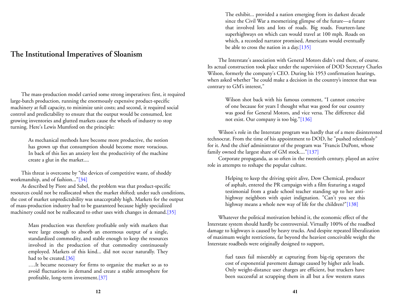## The Institutional Imperatives of Sloanism

The mass-production model carried some strong imperatives: first, it required large-batch production, running the enormously expensive product-specific machinery at full capacity, to minimize unit costs; and second, it required social control and predictability to ensure that the output would be consumed, lest growing inventories and glutted markets cause the wheels of industry to stop turning. Here's Lewis Mumford on the principle:

As mechanical methods have become more productive, the notion has grown up that consumption should become more voracious. In back of this lies an anxiety lest the productivity of the machine create a glut in the market....

This threat is overcome by "the devices of competitive waste, of shoddy workmanship, and of fashion..."[34]

As described by Piore and Sabel, the problem was that product-specific resources could not be reallocated when the market shifted; under such conditions, the cost of market unpredictability was unacceptably high. Markets for the output of mass-production industry had to be guaranteed because highly specialized machinery could not be reallocated to other uses with changes in demand.[35]

Mass production was therefore profitable only with markets that were large enough to absorb an enormous output of a single, standardized commodity, and stable enough to keep the resources involved in the production of that commodity continuously employed. Markets of this kind... did not occur naturally. They had to be created.[36]

....It became necessary for firms to organize the market so as to avoid fluctuations in demand and create a stable atmosphere for profitable, long-term investment.[37]

The exhibit... provided a nation emerging from its darkest decade since the Civil War a mesmerizing glimpse of the future—a future that involved lots and lots of roads. Big roads. Fourteen-lane superhighways on which cars would travel at 100 mph. Roads on which, a recorded narrator promised, Americans would eventually be able to cross the nation in a day.  $[135]$ 

The Interstate's association with General Motors didn't end there, of course. Its actual construction took place under the supervision of DOD Secretary Charles Wilson, formerly the company's CEO. During his 1953 confirmation hearings, when asked whether "he could make a decision in the country's interest that was contrary to GM's interest,"

> Wilson shot back with his famous comment. "I cannot conceive of one because for years I thought what was good for our country was good for General Motors, and vice versa. The difference did not exist. Our company is too big."[136]

Wilson's role in the Interstate program was hardly that of a mere disinterested technocrat. From the time of his appointment to DOD, he "pushed relentlessly" for it. And the chief administrator of the program was "Francis DuPont, whose family owned the largest share of GM stock...."[137]

Corporate propaganda, as so often in the twentieth century, played an active role in attempts to reshape the popular culture.

> Helping to keep the driving spirit alive, Dow Chemical, producer of asphalt, entered the PR campaign with a film featuring a staged testimonial from a grade school teacher standing up to her antihighway neighbors with quiet indignation. "Can't you see this highway means a whole new way of life for the children?"[138]

Whatever the political motivation behind it, the economic effect of the Interstate system should hardly be controversial. Virtually 100% of the roadbed damage to highways is caused by heavy trucks. And despite repeated liberalization of maximum weight restrictions, far beyond the heaviest conceivable weight the Interstate roadbeds were originally designed to support,

> fuel taxes fail miserably at capturing from big-rig operators the cost of exponential pavement damage caused by higher axle loads. Only weight-distance user charges are efficient, but truckers have been successful at scrapping them in all but a few western states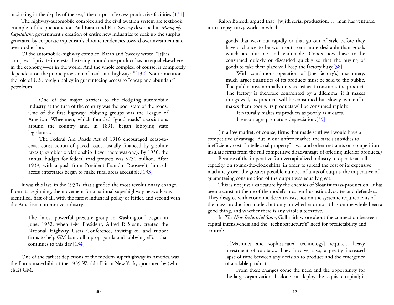or sinking in the depths of the sea," the output of excess productive facilities. [131]

The highway-automobile complex and the civil aviation system are textbook examples of the phenomenon Paul Baran and Paul Sweezy described in Monopoly *Capitalism*: government's creation of entire new industries to soak up the surplus generated by corporate capitalism's chronic tendencies toward overinvestment and overproduction.

Of the automobile-highway complex, Baran and Sweezy wrote, "[t]his complex of private interests clustering around one product has no equal elsewhere in the economy-or in the world. And the whole complex, of course, is completely dependent on the public provision of roads and highways."[132] Not to mention the role of U.S. foreign policy in guaranteeing access to "cheap and abundant" petroleum.

One of the major barriers to the fledgling automobile industry at the turn of the century was the poor state of the roads. One of the first highway lobbying groups was the League of American Wheelmen, which founded "good roads" associations around the country and, in 1891, began lobbying state legislatures....

The Federal Aid Roads Act of 1916 encouraged coast-tocoast construction of paved roads, usually financed by gasoline taxes (a symbiotic relationship if ever there was one). By 1930, the annual budget for federal road projects was \$750 million. After 1939, with a push from President Franklin Roosevelt, limitedaccess interstates began to make rural areas accessible.[133]

It was this last, in the 1930s, that signified the most revolutionary change. From its beginning, the movement for a national superhighway network was identified, first of all, with the fascist industrial policy of Hitler, and second with the American automotive industry.

> The "most powerful pressure group in Washington" began in June, 1932, when GM President, Alfred P. Sloan, created the National Highway Users Conference, inviting oil and rubber firms to help GM bankroll a propaganda and lobbying effort that continues to this day.  $[134]$

One of the earliest depictions of the modern superhighway in America was the Futurama exhibit at the 1939 World's Fair in New York, sponsored by (who else?) GM.

Ralph Borsodi argued that "[w]ith serial production, ... man has ventured into a topsy-turvy world in which

> goods that wear out rapidly or that go out of style before they have a chance to be worn out seem more desirable than goods which are durable and endurable. Goods now have to be consumed quickly or discarded quickly so that the buying of goods to take their place will keep the factory busy.[38]

> With continuous operation of [the factory's] machinery, much larger quantities of its products must be sold to the public. The public buys normally only as fast as it consumes the product. The factory is therefore confronted by a dilemma; if it makes things well, its products will be consumed but slowly, while if it makes them poorly, its products will be consumed rapidly.

It naturally makes its products as poorly as it dares. It encourages premature depreciation.[39]

(In a free market, of course, firms that made stuff well would have a competitive advantage. But in our unfree market, the state's subsidies to inefficiency cost, "intellectual property" laws, and other restraints on competition insulate firms from the full competitive disadvantage of offering inferior products.)

Because of the imperative for overcapitalized industry to operate at full capacity, on round-the-clock shifts, in order to spread the cost of its expensive machinery over the greatest possible number of units of output, the imperative of guaranteeing consumption of the output was equally great.

This is not just a caricature by the enemies of Sloanist mass-production. It has been a constant theme of the model's most enthusiastic advocates and defenders. They disagree with economic decentralists, not on the systemic requirements of the mass-production model, but only on whether or not it has on the whole been a good thing, and whether there is any viable alternative.

In *The New Industrial State*, Galbraith wrote about the connection between capital intensiveness and the "technostructure's" need for predictability and control:

> ...[Machines and sophisticated technology] require... heavy investment of capital.... They involve, also, a greatly increased lapse of time between any decision to produce and the emergence of a salable product.

> From these changes come the need and the opportunity for the large organization. It alone can deploy the requisite capital; it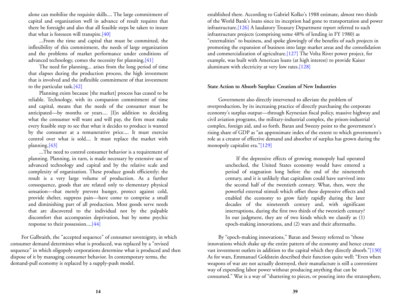alone can mobilize the requisite skills.... The large commitment of capital and organization well in advance of result requires that there be foresight and also that all feasible steps be taken to insure that what is foreseen will transpire. [ $40$ ]

... From the time and capital that must be committed, the inflexibility of this commitment, the needs of large organization and the problems of market performance under conditions of advanced technology, comes the necessity for planning.[41]

The need for planning... arises from the long period of time that elapses during the production process, the high investment that is involved and the inflexible commitment of that investment to the particular task.  $[42]$ 

Planning exists because [the market] process has ceased to be reliable. Technology, with its companion commitment of time and capital, means that the needs of the consumer must be anticipated—by months or years.... [I]n addition to deciding what the consumer will want and will pay, the firm must make every feasible step to see that what it decides to produce is wanted by the consumer at a remunerative price.... It must exercise control over what is sold.... It must replace the market with planning. $[43]$ 

...The need to control consumer behavior is a requirement of planning. Planning, in turn, is made necessary by extensive use of advanced technology and capital and by the relative scale and complexity of organization. These produce goods efficiently; the result is a very large volume of production. As a further consequence, goods that are related only to elementary physical sensation-that merely prevent hunger, protect against cold, provide shelter, suppress pain-have come to comprise a small and diminishing part of all production. Most goods serve needs that are discovered to the individual not by the palpable discomfort that accompanies deprivation, but by some psychic response to their possession....<sup>[44]</sup>

For Galbraith, the "accepted sequence" of consumer sovereignty, in which consumer demand determines what is produced, was replaced by a "revised sequence" in which oligopoly corporations determine what is produced and then dispose of it by managing consumer behavior. In contemporary terms, the demand-pull economy is replaced by a supply-push model.

established there. According to Gabriel Kolko's 1988 estimate, almost two thirds of the World Bank's loans since its inception had gone to transportation and power infrastructure.<sup>[126]</sup> A laudatory Treasury Department report referred to such infrastructure projects (comprising some 48% of lending in FY 1980) as "externalities" to business, and spoke glowingly of the benefits of such projects in promoting the expansion of business into large market areas and the consolidation and commercialization of agriculture. [127] The Volta River power project, for example, was built with American loans (at high interest) to provide Kaiser aluminum with electricity at very low rates.[128]

#### State Action to Absorb Surplus: Creation of New Industries

Government also directly intervened to alleviate the problem of overproduction, by its increasing practice of directly purchasing the corporate economy's surplus output—through Keynesian fiscal policy, massive highway and civil aviation programs, the military-industrial complex, the prison-industrial complex, foreign aid, and so forth. Baran and Sweezy point to the government's rising share of GDP as "an approximate index of the extent to which government's role as a creator of effective demand and absorber of surplus has grown during the monopoly capitalist era."[129]

If the depressive effects of growing monopoly had operated unchecked, the United States economy would have entered a period of stagnation long before the end of the nineteenth century, and it is unlikely that capitalism could have survived into the second half of the twentieth century. What, then, were the powerful external stimuli which offset these depressive effects and enabled the economy to grow fairly rapidly during the later decades of the nineteenth century and, with significant interruptions, during the first two thirds of the twentieth century? In our judgment, they are of two kinds which we classify as (1) epoch-making innovations, and (2) wars and their aftermaths.

By "epoch-making innovations," Baran and Sweezy referred to "those innovations which shake up the entire pattern of the economy and hence create vast investment outlets in addition to the capital which they directly absorb."[130] As for wars, Emmanuel Goldstein described their function quite well: "Even when weapons of war are not actually destroyed, their manufacture is still a convenient way of expending labor power without producing anything that can be consumed." War is a way of "shattering to pieces, or pouring into the stratosphere,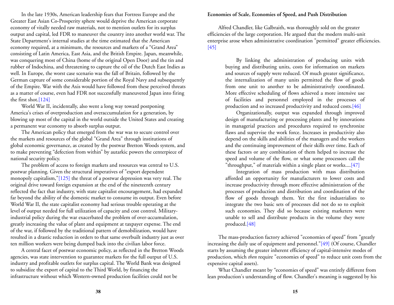In the late 1930s, American leadership fears that Fortress Europe and the Greater East Asian Co-Prosperity sphere would deprive the American corporate economy of vitally needed raw materials, not to mention outlets for its surplus output and capital, led FDR to maneuver the country into another world war. The State Department's internal studies at the time estimated that the American economy required, at a minimum, the resources and markets of a "Grand Area" consisting of Latin America, East Asia, and the British Empire. Japan, meanwhile, was conquering most of China (home of the original Open Door) and the tin and rubber of Indochina, and threatening to capture the oil of the Dutch East Indies as well. In Europe, the worst case scenario was the fall of Britain, followed by the German capture of some considerable portion of the Royal Navy and subsequently of the Empire. War with the Axis would have followed from these perceived threats as a matter of course, even had FDR not successfully maneuvered Japan into firing the first shot.<sup>[124]</sup>

World War II, incidentally, also went a long way toward postponing America's crises of overproduction and overaccumulation for a generation, by blowing up most of the capital in the world outside the United States and creating a permanent war economy to absorb surplus output.

The American policy that emerged from the war was to secure control over the markets and resources of the global "Grand Area" through institutions of global economic governance, as created by the postwar Bretton Woods system, and to make preventing "defection from within" by autarkic powers the centerpiece of national security policy.

The problem of access to foreign markets and resources was central to U.S. postwar planning. Given the structural imperatives of "export dependent monopoly capitalism,"[125] the threat of a postwar depression was very real. The original drive toward foreign expansion at the end of the nineteenth century reflected the fact that industry, with state capitalist encouragement, had expanded far beyond the ability of the domestic market to consume its output. Even before World War II, the state capitalist economy had serious trouble operating at the level of output needed for full utilization of capacity and cost control. Militaryindustrial policy during the war exacerbated the problem of over-accumulation, greatly increasing the value of plant and equipment at taxpayer expense. The end of the war, if followed by the traditional pattern of demobilization, would have resulted in a drastic reduction in orders to that same overbuilt industry just as over ten million workers were being dumped back into the civilian labor force.

A central facet of postwar economic policy, as reflected in the Bretton Woods agencies, was state intervention to guarantee markets for the full output of U.S. industry and profitable outlets for surplus capital. The World Bank was designed to subsidize the export of capital to the Third World, by financing the infrastructure without which Western-owned production facilities could not be

#### Economies of Scale, Economies of Speed, and Push Distribution

Alfred Chandler, like Galbraith, was thoroughly sold on the greater efficiencies of the large corporation. He argued that the modern multi-unit enterprise arose when administrative coordination "permitted" greater efficiencies.  $[45]$ 

By linking the administration of producing units with buying and distributing units, costs for information on markets and sources of supply were reduced. Of much greater significance, the internalization of many units permitted the flow of goods from one unit to another to be administratively coordinated. More effective scheduling of flows achieved a more intensive use of facilities and personnel employed in the processes of production and so increased productivity and reduced costs.[46]

Organizationally, output was expanded through improved design of manufacturing or processing plants and by innovations in managerial practices and procedures required to synchronize flaws and supervise the work force. Increases in productivity also depend on the skills and abilities of the managers and the workers and the continuing improvement of their skills over time. Each of these factors or any combination of them helped to increase the speed and volume of the flow, or what some processors call the "throughput," of materials within a single plant or works....[47]

Integration of mass production with mass distribution afforded an opportunity for manufacturers to lower costs and increase productivity through more effective administration of the processes of production and distribution and coordination of the flow of goods through them. Yet the first industrialists to integrate the two basic sets of processes did not do so to exploit such economies. They did so because existing marketers were unable to sell and distribute products in the volume they were  $produced.[48]$ 

The mass-production factory achieved "economies of speed" from "greatly increasing the daily use of equipment and personnel."[49] (Of course, Chandler starts by assuming the greater inherent efficiency of capital-intensive modes of production, which then require "economies of speed" to reduce unit costs from the expensive capital assets).

What Chandler meant by "economies of speed" was entirely different from lean production's understanding of flow. Chandler's meaning is suggested by his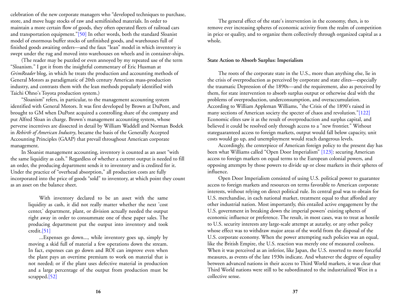celebration of the new corporate managers who "developed techniques to purchase, store, and move huge stocks of raw and semifinished materials. In order to maintain a more certain flow of goods, they often operated fleets of railroad cars and transportation equipment."[50] In other words, both the standard Sloanist model of enormous buffer stocks of unfinished goods, and warehouses full of finished goods awaiting orders—and the faux "lean" model in which inventory is swept under the rug and moved into warehouses on wheels and in container-ships.

(The reader may be puzzled or even annoyed by my repeated use of the term "Sloanism." I got it from the insightful commentary of Eric Husman at GrimReader blog, in which he treats the production and accounting methods of General Motors as paradigmatic of 20th century American mass-production industry, and contrasts them with the lean methods popularly identified with Taichi Ohno's Toyota production system.)

"Sloanism" refers, in particular, to the management accounting system identified with General Motors. It was first developed by Brown at DuPont, and brought to GM when DuPont acquired a controlling share of the company and put Alfred Sloan in charge. Brown's management accounting system, whose perverse incentives are dissected in detail by William Waddell and Norman Bodek in Rebirth of American Industry, became the basis of the Generally Accepted Accounting Principles (GAAP) that prevail throughout American corporate management.

In Sloanist management accounting, inventory is counted as an asset "with the same liquidity as cash." Regardless of whether a current output is needed to fill an order, the producing department sends it to inventory and is credited for it. Under the practice of "overhead absorption," all production costs are fully incorporated into the price of goods "sold" to inventory, at which point they count as an asset on the balance sheet.

With inventory declared to be an asset with the same liquidity as cash, it did not really matter whether the next 'cost center,' department, plant, or division actually needed the output right away in order to consummate one of these paper sales. The producing department put the output into inventory and took  $credit.[51]$ 

... Expenses go down..., while inventory goes up, simply by moving a skid full of material a few operations down the stream. In fact, expenses can go down and ROI can improve even when the plant pays an overtime premium to work on material that is not needed; or if the plant uses defective material in production and a large percentage of the output from production must be scrapped.[52]

The general effect of the state's intervention in the economy, then, is to remove ever increasing spheres of economic activity from the realm of competition in price or quality, and to organize them collectively through organized capital as a whole.

#### State Action to Absorb Surplus: Imperialism

The roots of the corporate state in the U.S., more than anything else, lie in the crisis of overproduction as perceived by corporate and state elites—especially the traumatic Depression of the 1890s—and the requirement, also as perceived by them, for state intervention to absorb surplus output or otherwise deal with the problems of overproduction, underconsumption, and overaccumulation. According to William Appleman Williams, "the Crisis of the 1890's raised in many sections of American society the specter of chaos and revolution."[122] Economic elites saw it as the result of overproduction and surplus capital, and believed it could be resolved only through access to a "new frontier." Without stateguaranteed access to foreign markets, output would fall below capacity, unit costs would go up, and unemployment would reach dangerous levels.

Accordingly, the centerpiece of American foreign policy to the present day has been what Williams called "Open Door Imperialism" [123]: securing American access to foreign markets on equal terms to the European colonial powers, and opposing attempts by those powers to divide up or close markets in their spheres of influence.

Open Door Imperialism consisted of using U.S. political power to guarantee access to foreign markets and resources on terms favorable to American corporate interests, without relying on direct political rule. Its central goal was to obtain for U.S. merchandise, in each national market, treatment equal to that afforded any other industrial nation. Most importantly, this entailed active engagement by the U.S. government in breaking down the imperial powers' existing spheres of economic influence or preference. The result, in most cases, was to treat as hostile to U.S. security interests any large-scale attempt at autarky, or any other policy whose effect was to withdraw major areas of the world from the disposal of the U.S. corporate economy. When the power attempting such policies was an equal, like the British Empire, the U.S. reaction was merely one of measured coolness. When it was perceived as an inferior, like Japan, the U.S. resorted to more forceful measures, as events of the late 1930s indicate. And whatever the degree of equality between advanced nations in their access to Third World markets, it was clear that Third World nations were still to be subordinated to the industrialized West in a collective sense.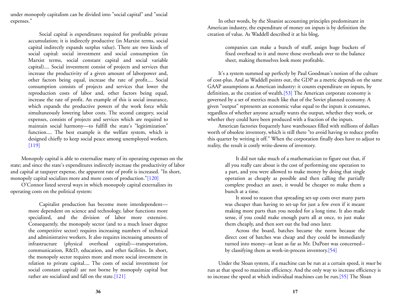under monopoly capitalism can be divided into "social capital" and "social expenses."

> Social capital is expenditures required for profitable private accumulation; it is indirectly productive (in Marxist terms, social capital indirectly expands surplus value). There are two kinds of social capital: social investment and social consumption (in Marxist terms, social constant capital and social variable capital).... Social investment consist of projects and services that increase the productivity of a given amount of laborpower and, other factors being equal, increase the rate of profit.... Social consumption consists of projects and services that lower the reproduction costs of labor and, other factors being equal, increase the rate of profit. An example of this is social insurance, which expands the productive powers of the work force while simultaneously lowering labor costs. The second category, social expenses, consists of projects and services which are required to maintain social harmony-to fulfill the state's "legitimization" function.... The best example is the welfare system, which is designed chiefly to keep social peace among unemployed workers.  $[119]$

Monopoly capital is able to externalize many of its operating expenses on the state; and since the state's expenditures indirectly increase the productivity of labor and capital at taxpayer expense, the apparent rate of profit is increased. "In short, monopoly capital socializes more and more costs of production."[120]

O'Connor listed several ways in which monopoly capital externalizes its operating costs on the political system:

> Capitalist production has become more interdependentmore dependent on science and technology, labor functions more specialized, and the division of labor more extensive. Consequently, the monopoly sector (and to a much lesser degree the competitive sector) requires increasing numbers of technical and administrative workers. It also requires increasing amounts of infrastructure (physical overhead capital)—transportation, communication, R&D, education, and other facilities. In short, the monopoly sector requires more and more social investment in relation to private capital.... The costs of social investment (or social constant capital) are not borne by monopoly capital but rather are socialized and fall on the state.[121]

In other words, by the Sloanist accounting principles predominant in American industry, the expenditure of money on inputs is by definition the creation of value. As Waddell described it at his blog,

> companies can make a bunch of stuff, assign huge buckets of fixed overhead to it and move those overheads over to the balance sheet, making themselves look more profitable.

It's a system summed up perfectly by Paul Goodman's notion of the culture of cost-plus. And as Waddell points out, the GDP as a metric depends on the same GAAP assumptions as American industry: it counts expenditure on inputs, by definition, as the creation of wealth. [53] The American corporate economy is governed by a set of metrics much like that of the Soviet planned economy. A given "output" represents an economic value equal to the inputs it consumes, regardless of whether anyone actually wants the output, whether they work, or whether they could have been produced with a fraction of the inputs.

American factories frequently have warehouses filled with millions of dollars worth of obsolete inventory, which is still there "to avoid having to reduce profits this quarter by writing it off." When the corporation finally does have to adjust to reality, the result is costly write-downs of inventory.

It did not take much of a mathematician to figure out that, if all you really care about is the cost of performing one operation to a part, and you were allowed to make money by doing that single operation as cheaply as possible and then calling the partially complete product an asset, it would be cheaper to make them a bunch at a time.

It stood to reason that spreading set-up costs over many parts was cheaper than having to set-up for just a few even if it meant making more parts than you needed for a long time. It also made sense, if you could make enough parts all at once, to just make them cheaply, and then sort out the bad ones later.

Across the board, batches became the norm because the direct cost of batches was cheap and they could be immediately turned into money--at least as far as Mr. DuPont was concerned-by classifying them as work-in-process inventory [54]

Under the Sloan system, if a machine can be run at a certain speed, it *must* be run at that speed to maximize efficiency. And the only way to increase efficiency is to increase the speed at which individual machines can be run.[55] The Sloan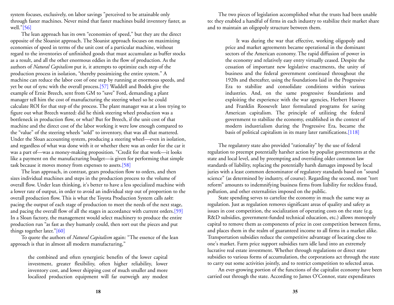system focuses, exclusively, on labor savings "perceived to be attainable only through faster machines. Never mind that faster machines build inventory faster, as well."[56]

The lean approach has its own "economies of speed," but they are the direct opposite of the Sloanist approach. The Sloanist approach focuses on maximizing economies of speed in terms of the unit cost of a particular machine, without regard to the inventories of unfinished goods that must accumulate as buffer stocks as a result, and all the other enormous eddies in the flow of production. As the authors of Natural Capitalism put it, it attempts to optimize each step of the production process in isolation, "thereby pessimizing the entire system." A machine can reduce the labor cost of one step by running at enormous speeds, and yet be out of sync with the overall process.[57] Waddell and Bodek give the example of Ernie Breech, sent from GM to "save" Ford, demanding a plant manager tell him the cost of manufacturing the steering wheel so he could calculate ROI for that step of the process. The plant manager was at a loss trying to figure out what Breech wanted: did he think steering wheel production was a bottleneck in production flow, or what? But for Breech, if the unit cost of that machine and the direct cost of the labor working it were low enough compared to the "value" of the steering wheels "sold" to inventory, that was all that mattered. Under the Sloan accounting system, producing a steering wheel—even in isolation, and regardless of what was done with it or whether there was an order for the car it was a part of—was a money-making proposition. "Credit for that work—it looks like a payment on the manufacturing budget—is given for performing that simple task because it moves money from expenses to assets.[58]

The lean approach, in contrast, gears production flow to orders, and then sizes individual machines and steps in the production process to the volume of overall flow. Under lean thinking, it's better to have a less specialized machine with a lower rate of output, in order to avoid an individual step out of proportion to the overall production flow. This is what the Toyota Production System calls takt: pacing the output of each stage of production to meet the needs of the next stage, and pacing the overall flow of all the stages in accordance with current orders.[59] In a Sloan factory, the management would select machinery to produce the entire production run "as fast as they humanly could, then sort out the pieces and put things together later." $[60]$ 

To quote the authors of *Natural Capitalism* again: "The essence of the lean approach is that in almost all modern manufacturing,"

> the combined and often synergistic benefits of the lower capital investment, greater flexibility, often higher reliability, lower inventory cost, and lower shipping cost of much smaller and more localized production equipment will far outweigh any modest

The two pieces of legislation accomplished what the trusts had been unable to: they enabled a handful of firms in each industry to stabilize their market share and to maintain an oligopoly structure between them.

It was during the war that effective, working oligopoly and price and market agreements became operational in the dominant sectors of the American economy. The rapid diffusion of power in the economy and relatively easy entry virtually ceased. Despite the cessation of important new legislative enactments, the unity of business and the federal government continued throughout the 1920s and thereafter, using the foundations laid in the Progressive Era to stabilize and consolidate conditions within various industries. And, on the same progressive foundations and exploiting the experience with the war agencies, Herbert Hoover and Franklin Roosevelt later formulated programs for saving American capitalism. The principle of utilizing the federal government to stabilize the economy, established in the context of modern industrialism during the Progressive Era, became the basis of political capitalism in its many later ramifications [118]

The regulatory state also provided "rationality" by the use of federal regulation to preempt potentially harsher action by populist governments at the state and local level, and by preempting and overriding older common law standards of liability, replacing the potentially harsh damages imposed by local juries with a least common denominator of regulatory standards based on "sound science" (as determined by industry, of course). Regarding the second, most "tort reform" amounts to indemnifying business firms from liability for reckless fraud, pollution, and other externalities imposed on the public.

State spending serves to cartelize the economy in much the same way as regulation. Just as regulation removes significant areas of quality and safety as issues in cost competition, the socialization of operating costs on the state (e.g. R&D subsidies, government-funded technical education, etc.) allows monopoly capital to remove them as components of price in cost competition between firms, and places them in the realm of guaranteed income to all firms in a market alike. Transportation subsidies reduce the competitive advantage of locating close to one's market. Farm price support subsidies turn idle land into an extremely lucrative real estate investment. Whether through regulations or direct state subsidies to various forms of accumulation, the corporations act through the state to carry out some activities jointly, and to restrict competition to selected areas.

An ever-growing portion of the functions of the capitalist economy have been carried out through the state. According to James O'Connor, state expenditures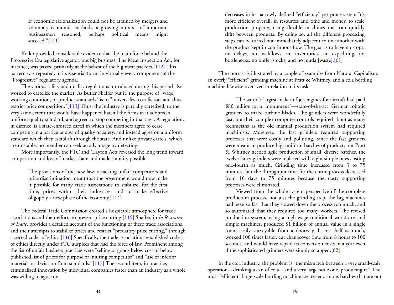If economic rationalization could not be attained by mergers and voluntary economic methods, a growing number of important businessmen reasoned, perhaps political means might succeed."[111]

Kolko provided considerable evidence that the main force behind the Progressive Era legislative agenda was big business. The Meat Inspection Act, for instance, was passed primarily at the behest of the big meat packers.[112] This pattern was repeated, in its essential form, in virtually every component of the "Progressive" regulatory agenda.

The various safety and quality regulations introduced during this period also worked to cartelize the market. As Butler Shaffer put it, the purpose of "wage, working condition, or product standards" is to "universalize cost factors and thus restrict price competition."[113] Thus, the industry is partially cartelized, to the very same extent that would have happened had all the firms in it adopted a uniform quality standard, and agreed to stop competing in that area. A regulation, in essence, is a state-enforced cartel in which the members agree to cease competing in a particular area of quality or safety, and instead agree on a uniform standard which they establish through the state. And unlike private cartels, which are unstable, no member can seek an advantage by defecting.

More importantly, the FTC and Clayton Acts reversed the long trend toward competition and loss of market share and made stability possible.

> The provisions of the new laws attacking unfair competitors and price discrimination meant that the government would now make it possible for many trade associations to stabilize, for the first time, prices within their industries, and to make effective oligopoly a new phase of the economy. $[114]$

The Federal Trade Commission created a hospitable atmosphere for trade associations and their efforts to prevent price cutting.[115] Shaffer, in *In Restraint* of Trade, provides a detailed account of the functioning of these trade associations, and their attempts to stabilize prices and restrict "predatory price cutting," through assorted codes of ethics.<sup>[116]</sup> Specifically, the trade associations established codes of ethics directly under FTC auspices that had the force of law. Prominent among the list of unfair business practices were "selling of goods below cost or below published list of prices for purpose of injuring competitor" and "use of inferior materials or deviation from standards."[117] The second item, in practice, criminalized innovation by individual companies faster than an industry as a whole was willing to agree on.

decreases in its narrowly defined "efficiency" per process step. It's more efficient overall, in resources and time and money, to scale production properly, using flexible machines that can quickly shift between products. By doing so, all the different processing steps can be carred out immediately adjacent to one another with the product kept in continuous flow. The goal is to have no stops, no delays, no backflows, no inventories, no expediting, no bottlenecks, no buffer stocks, and no muda [waste]. [61]

The contrast is illustrated by a couple of examples from Natural Capitalism: an overly "efficient" grinding machine at Pratt & Whitney, and a cola bottling machine likewise oversized in relation to its task:

> The world's largest maker of jet engines for aircraft had paid \$80 million for a "monument"-state-of-the-art German robotic grinders to make turbine blades. The grinders were wonderfully fast, but their complex computer controls required about as many technicians as the old manual production system had required machinists. Moreover, the fast grinders required supporting processes that were costly and polluting. Since the fast grinders were meant to produce big, uniform batches of product, but Pratt & Whitney needed agile production of small, diverse batches, the twelve fancy grinders were replaced with eight simple ones costing one-fourth as much. Grinding time increased from 3 to 75 minutes, but the throughput time for the entire process decreased from 10 days to 75 minutes because the nasty supporting processes were eliminated.

> Viewed from the whole-system perspective of the complete production process, not just the grinding step, the big machines had been so fast that they slowed down the process too much, and so automated that they required too many workers. The revised production system, using a high-wage traditional workforce and simple machines, produced \$1 billion of annual value in a single room easily surveyable from a doorway. It cost half as much, worked 100 times faster, cut changeover time from 8 hours to 100 seconds, and would have repaid its conversion costs in a year even if the sophisticated grinders were simply scrapped.[62]

In the cola industry, the problem is "the mismatch between a very small-scale operation—drinking a can of cola—and a very large-scale one, producing it." The most "efficient" large-scale bottling machine creates enormous batches that are out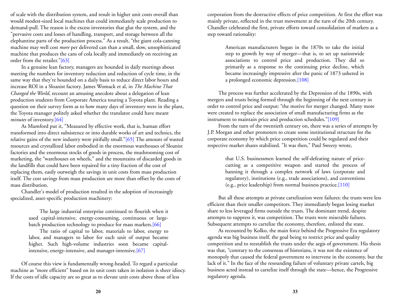of scale with the distribution system, and result in higher unit costs overall than would modest-sized local machines that could immediately scale production to demand-pull. The reason is the excess inventories that glut the system, and the "pervasive costs and losses of handling, transport, and storage between all the elephantine parts of the production process." As a result, "the giant cola-canning machine may well cost *more* per delivered can than a small, slow, unsophisticated machine that produces the cans of cola locally and immediately on receiving an order from the retailer."[63]

In a genuine lean factory, managers are hounded in daily meetings about meeting the numbers for inventory reduction and reduction of cycle time, in the same way that they're hounded on a daily basis to reduce direct labor hours and increase ROI in a Sloanist factory. James Womack et al, in The Machine That Changed the World, recount an amusing anecdote about a delegation of lean production students from Corporate America touring a Toyota plant. Reading a question on their survey form as to how many days of inventory were in the plant, the Toyota manager politely asked whether the translator could have meant *minutes* of inventory.<sup>[64]</sup>

As Mumford put it, "Measured by effective work, that is, human effort transformed into direct subsistence or into durable works of art and technics, the relative gains of the new industry were pitifully small."[65] The amount of wasted resources and crystallized labor embodied in the enormous warehouses of Sloanist factories and the enormous stocks of goods in process, the mushrooming cost of marketing, the "warehouses on wheels," and the mountains of discarded goods in the landfills that could have been repaired for a tiny fraction of the cost of replacing them, easily outweigh the savings in unit costs from mass production itself. The cost savings from mass production are more than offset by the costs of mass distribution.

Chandler's model of production resulted in the adoption of increasingly specialized, asset-specific production machinery:

> The large industrial enterprise continued to flourish when it used capital-intensive, energy-consuming, continuous or largebatch production technology to produce for mass markets.[66]

> The ratio of capital to labor, materials to labor, energy to labor, and managers to labor for each unit of output became higher. Such high-volume industries soon became capitalintensive, energy-intensive, and manager-intensive. [67]

Of course this view is fundamentally wrong-headed. To regard a particular machine as "more efficient" based on its unit costs taken in isolation is sheer idiocy. If the costs of idle capacity are so great as to elevate unit costs above those of less

corporation from the destructive effects of price competition. At first the effort was mainly private, reflected in the trust movement at the turn of the 20th century. Chandler celebrated the first, private efforts toward consolidation of markets as a step toward rationality:

American manufacturers began in the 1870s to take the initial step to growth by way of merger—that is, to set up nationwide associations to control price and production. They did so primarily as a response to the continuing price decline, which became increasingly impressive after the panic of 1873 ushered in a prolonged economic depression.[108]

The process was further accelerated by the Depression of the 1890s, with mergers and trusts being formed through the beginning of the next century in order to control price and output: "the motive for merger changed. Many more were created to replace the association of small manufacturing firms as the instrument to maintain price and production schedules."[109]

From the turn of the twentieth century on, there was a series of attempts by J.P. Morgan and other promoters to create some institutional structure for the corporate economy by which price competition could be regulated and their respective market shares stabilized. "It was then," Paul Sweezy wrote,

> that U.S. businessmen learned the self-defeating nature of pricecutting as a competitive weapon and started the process of banning it through a complex network of laws (corporate and regulatory), institutions (e.g., trade associations), and conventions (e.g., price leadership) from normal business practice.[110]

But all these attempts at private cartelization were failures: the trusts were less efficient than their smaller competitors. They immediately began losing market share to less leveraged firms outside the trusts. The dominant trend, despite attempts to suppress it, was competition. The trusts were miserable failures. Subsequent attempts to cartelize the economy, therefore, enlisted the state.

As recounted by Kolko, the main force behind the Progressive Era regulatory agenda was big business itself, the goal being to restrict price and quality competition and to reestablish the trusts under the aegis of government. His thesis was that, "contrary to the consensus of historians, it was not the existence of monopoly that caused the federal government to intervene in the economy, but the lack of it." In the face of the resounding failure of voluntary private cartels, big business acted instead to cartelize itself through the state—hence, the Progressive regulatory agenda.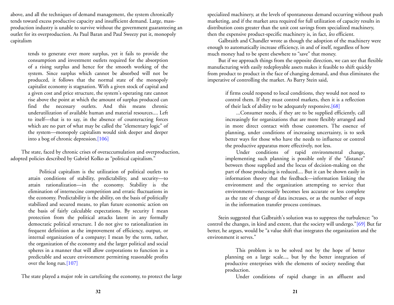above, and all the techniques of demand management, the system chronically tends toward excess productive capacity and insufficient demand. Large, massproduction industry is unable to survive without the government guaranteeing an outlet for its overproduction. As Paul Baran and Paul Sweezy put it, monopoly capitalism

tends to generate ever more surplus, yet it fails to provide the consumption and investment outlets required for the absorption of a rising surplus and hence for the smooth working of the system. Since surplus which cannot be absorbed will not be produced, it follows that the normal state of the monopoly capitalist economy is stagnation. With a given stock of capital and a given cost and price structure, the system's operating rate cannot rise above the point at which the amount of surplus produced can find the necessary outlets. And this means chronic underutilization of available human and material resources.... Left to itself—that is to say, in the absence of counteracting forces which are no part of what may be called the "elementary logic" of the system-monopoly capitalism would sink deeper and deeper into a bog of chronic depression.[106]

The state, faced by chronic crises of overaccumulation and overproduction, adopted policies described by Gabriel Kolko as "political capitalism."

> Political capitalism is the utilization of political outlets to attain conditions of stability, predictability, and security-to attain rationalization-in the economy. Stability is the elimination of internecine competition and erratic fluctuations in the economy. Predictability is the ability, on the basis of politically stabilized and secured means, to plan future economic action on the basis of fairly calculable expectations. By security I mean protection from the political attacks latent in any formally democratic political structure. I do not give to rationalization its frequent definition as the improvement of efficiency, output, or internal organization of a company; I mean by the term, rather, the organization of the economy and the larger political and social spheres in a manner that will allow corporations to function in a predictable and secure environment permitting reasonable profits over the long run.[107]

The state played a major role in cartelizing the economy, to protect the large

specialized machinery, at the levels of spontaneous demand occurring without push marketing, and if the market area required for full utilization of capacity results in distribution costs greater than the unit cost savings from specialized machinery, then the expensive product-specific machinery is, in fact, less efficient.

Galbraith and Chandler wrote as though the adoption of the machinery were enough to automatically increase efficiency, in and of itself, regardless of how much money had to be spent elsewhere to "save" that money.

But if we approach things from the opposite direction, we can see that flexible manufacturing with easily redeployable assets makes it feasible to shift quickly from product to product in the face of changing demand, and thus eliminates the imperative of controlling the market. As Barry Stein said,

if firms could respond to local conditions, they would not need to control them. If they must control markets, then it is a reflection of their lack of ability to be adequately responsive.[68]

...Consumer needs, if they are to be supplied efficiently, call increasingly for organizations that are more flexibly arranged and in more direct contact with those customers. The essence of planning, under conditions of increasing uncertainty, is to seek better ways for those who have the needs to influence or control the productive apparatus more effectively, not less.

Under conditions of rapid environmental change, implementing such planning is possible only if the "distance" between those supplied and the locus of decision-making on the part of those producing is reduced.... But it can be shown easily in information theory that the feedback—information linking the environment and the organization attempting to service that environment-necessarily becomes less accurate or less complete as the rate of change of data increases, or as the number of steps in the information transfer process continues.

Stein suggested that Galbraith's solution was to suppress the turbulence: "to control the changes, in kind and extent, that the society will undergo."[69] But far better, he argues, would be "a value shift that integrates the organization and the environment it serves."

This problem is to be solved not by the hope of better planning on a large scale..., but by the better integration of productive enterprises with the elements of society needing that production.

Under conditions of rapid change in an affluent and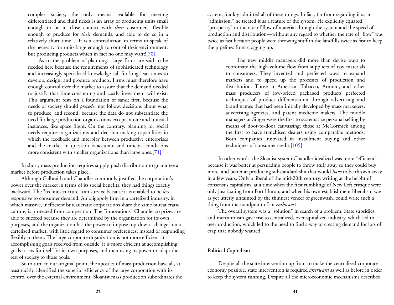complex society, the only means available for meeting differentiated and fluid needs is an array of producing units small enough to be in close contact with their customers, flexible enough to produce for *their* demands, and able to do so in a relatively short time.... It is a contradiction in terms to speak of the necessity for units large enough to control their environment, but producing products which in fact no one may want![70]

As to the problem of planning-large firms are said to be needed here because the requirements of sophisticated technology and increasingly specialized knowledge call for long lead times to develop, design, and produce products. Firms must therefore have enough control over the market to assure that the demand needed to justify that time-consuming and costly investment will exist. This argument rests on a foundation of sand; first, because the needs of society should *precede*, not follow, decisions about what to produce, and second, because the data do not substantiate the need for large production organizations except in rare and unusual instances, like space flight. On the contrary, planning for social needs requires organizations and decision-making capabilities in which the feedback and interplay between productive enterprises and the market in question is accurate and timely-conditions more consistent with smaller organizations than large ones.[71]

In short, mass production requires supply-push distribution to guarantee a market before production takes place.

Although Galbraith and Chandler commonly justified the corporation's power over the market in terms of its social benefits, they had things exactly backward. The "technostructure" can survive because it is enabled to be less responsive to consumer demand. An oligopoly firm in a cartelized industry, in which massive, inefficient bureaucratic corporations share the same bureaucratic culture, is protected from competition. The "innovations" Chandler so prizes are able to succeed because they are determined by the organization for its own purposes, and the organization has the power to impose top-down "change" on a cartelized market, with little regard to consumer preferences, instead of responding flexibly to them. The large corporate organization is not more efficient at accomplishing goals received from outside; it is more efficient at accomplishing goals it sets for itself for its own purposes, and then using its power to adapt the rest of society to those goals.

So to turn to our original point, the apostles of mass production have all, at least tacitly, identified the superior efficiency of the large corporation with its control over the external environment. Sloanist mass production subordinates the system, frankly admitted all of these things. In fact, far from regarding it as an "admission," he treated it as a feature of the system. He explicitly equated "prosperity" to the rate of flow of material through the system and the speed of production and distribution—without any regard to whether the rate of "flow" was twice as fast because people were throwing stuff in the landfills twice as fast to keep the pipelines from clogging up.

> The new middle managers did more than devise ways to coordinate the high-volume flow from suppliers of raw materials to consumers. They invented and perfected ways to expand markets and to speed up the processes of production and distribution. Those at American Tobacco, Armour, and other mass producers of low-priced packaged products perfected techniques of product differentiation through advertising and brand names that had been initially developed by mass marketers, advertising agencies, and patent medicine makers. The middle managers at Singer were the first to systematize personal selling by means of door-to-door canvassing; those at McCormick among the first to have franchised dealers using comparable methods. Both companies innovated in installment buying and other techniques of consumer credit.[105]

In other words, the Sloanist system Chandler idealized was more "efficient" because it was better at persuading people to throw stuff away so they could buy more, and better at producing substandard shit that would *have* to be thrown away in a few years. Only a liberal of the mid-20th century, writing at the height of consensus capitalism, at a time when the first rumblings of New Left critique were only just issuing from Port Huron, and when his own establishment liberalism was as yet utterly untainted by the thinnest veneer of greenwash, could write such a thing from the standpoint of an enthusiast.

The overall system was a "solution" in search of a problem. State subsidies and mercantilism gave rise to centralized, overcapitalized industry, which led to overproduction, which led to the need to find a way of creating demand for lots of crap that nobody wanted.

#### **Political Capitalism**

Despite all the state intervention up front to make the centralized corporate economy possible, state intervention is required afterward as well as before in order to keep the system running. Despite all the microeconomic mechanisms described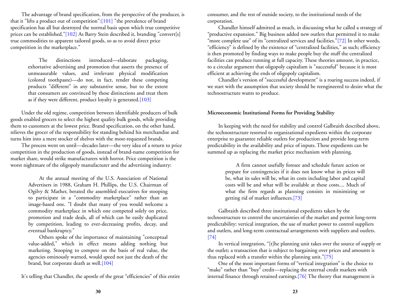The advantage of brand specification, from the perspective of the producer, is that it "lifts a product out of competition":[101] "the prevalence of brand specification has all but destroyed the normal basis upon which true competitive prices can be established."[102] As Barry Stein described it, branding "convert[s] true commodities to apparent tailored goods, so as to avoid direct price competition in the marketplace."

packaging, distinctions introduced—elaborate The exhortative advertising and promotion that asserts the presence of unmeasurable values, and irrelevant physical modification (colored toothpaste)-do not, in fact, render these competing products "different" in any substantive sense, but to the extent that consumers are convinced by these distinctions and treat them as if they were different, product loyalty is generated.[103]

Under the old regime, competition between identifiable producers of bulk goods enabled grocers to select the highest quality bulk goods, while providing them to customers at the lowest price. Brand specification, on the other hand, relieves the grocer of the responsibility for standing behind his merchandise and turns him into a mere stocker of shelves with the most-requested brands.

The process went on until-decades later-the very idea of a return to price competition in the production of goods, instead of brand-name competition for market share, would strike manufacturers with horror. Price competition is the worst nightmare of the oligopoly manufacturer and the advertising industry:

> At the annual meeting of the U.S. Association of National Advertisers in 1988, Graham H. Phillips, the U.S. Chairman of Ogilvy & Mather, berated the assembled executives for stooping to participate in a "commodity marketplace" rather than an image-based one. "I doubt that many of you would welcome a commodity marketplace in which one competed solely on price, promotion and trade deals, all of which can be easily duplicated by competition, leading to ever-decreasing profits, decay, and eventual bankruptcy."

> Others spoke of the importance of maintaining "conceptual value-added," which in effect means adding nothing but marketing. Stooping to compete on the basis of real value, the agencies ominously warned, would speed not just the death of the brand, but corporate death as well.[104]

It's telling that Chandler, the apostle of the great "efficiencies" of this entire

consumer, and the rest of outside society, to the institutional needs of the corporation.

Chandler himself admitted as much, in discussing what he called a strategy of "productive expansion." Big business added new outlets that permitted it to make "more complete use" of its "centralized services and facilities."[72] In other words, "efficiency" is defined by the existence of "centralized facilities," as such; efficiency is then promoted by finding ways to make people buy the stuff the centralized facilities can produce running at full capacity. These theories amount, in practice, to a circular argument that oligopoly capitalism is "successful" because it is most efficient at achieving the ends of oligopoly capitalism.

Chandler's version of "successful development" is a roaring success indeed, if we start with the assumption that society should be reengineered to desire what the technostructure wants to produce.

#### Microeconomic Institutional Forms for Providing Stability

In keeping with the need for stability and control Galbraith described above, the technostructure resorted to organizational expedients within the corporate enterprise to guarantee reliable outlets for production and provide long-term predictability in the availability and price of inputs. These expedients can be summed up as replacing the market price mechanism with planning.

> A firm cannot usefully foresee and schedule future action or prepare for contingencies if it does not know what its prices will be, what its sales will be, what its costs including labor and capital costs will be and what will be available at these costs.... Much of what the firm regards as planning consists in minimizing or getting rid of market influences.[73]

Galbraith described three institutional expedients taken by the technostructure to control the uncertainties of the market and permit long-term predictability: vertical integration, the use of market power to control suppliers and outlets, and long-term contractual arrangements with suppliers and outlets.  $[74]$ 

In vertical integration, "[t]he planning unit takes over the source of supply or the outlet; a transaction that is subject to bargaining over prices and amounts is thus replaced with a transfer within the planning unit."[75]

One of the most important forms of "vertical integration" is the choice to "make" rather than "buy" credit—replacing the external credit markets with internal finance through retained earnings. [76] The theory that management is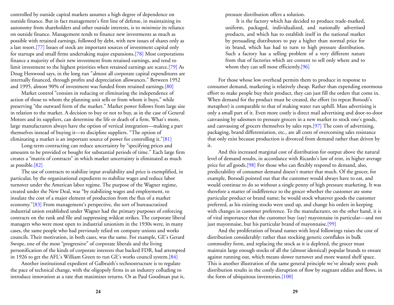controlled by outside capital markets assumes a high degree of dependence on outside finance. But in fact management's first line of defense, in maintaining its autonomy from shareholders and other outside interests, is to *minimize* its reliance on outside finance. Management tends to finance new investments as much as possible with retained earnings, followed by debt, with new issues of shares only as a last resort. [77] Issues of stock are important sources of investment capital only for startups and small firms undertaking major expansions.[78] Most corporations finance a majority of their new investment from retained earnings, and tend to limit investment to the highest priorities when retained earnings are scarce.[79] As Doug Henwood says, in the long run "almost all corporate capital expenditures are internally financed, through profits and depreciation allowances." Between 1952 and 1995, almost 90% of investment was funded from retained earnings.[80]

Market control "consists in reducing or eliminating the independence of action of those to whom the planning unit sells or from whom it buys," while preserving "the outward form of the market." Market power follows from large size in relation to the market. A decision to buy or not to buy, as in the case of General Motors and its suppliers, can determine the life or death of a firm. What's more, large manufacturers always have the option of vertical integration—making a part themselves instead of buying it—to discipline suppliers. "The option of eliminating a market is an important source of power for controlling it."[81]

Long-term contracting can reduce uncertainty by "specifying prices and amounts to be provided or bought for substantial periods of time." Each large firm creates a "matrix of contracts" in which market uncertainty is eliminated as much as possible.[82]

The use of contracts to stabilize input availability and price is exemplified, in particular, by the organizational expedients to stabilize wages and reduce labor turnover under the American labor regime. The purpose of the Wagner regime, created under the New Deal, was "by stabilizing wages and employment, to insulate the cost of a major element of production from the flux of a market economy."[83] From management's perspective, the sort of bureaucratized industrial union established under Wagner had the primary purposes of enforcing contracts on the rank and file and suppressing wildcat strikes. The corporate liberal managers who were most open to industrial unionism in the 1930s were, in many cases, the same people who had previously relied on company unions and works councils. Their motivation, in both cases, was the same. For example, GE's Gerard Swope, one of the most "progressive" of corporate liberals and the living personification of the kinds of corporate interests that backed FDR, had attempted in 1926 to get the AFL's William Green to run GE's works council system. [84]

Another institutional expedient of Galbraith's technostructure is to regulate the pace of technical change, with the oligopoly firms in an industry colluding to introduce innovation at a rate that maximizes returns. Or as Paul Goodman put it, pressure distribution offers a solution.

It is the factory which has decided to produce trade-marked, uniform, packaged, individualized, and nationally advertised products, and which has to establish itself in the national market by persuading distributors to pay a higher than normal price for its brand, which has had to turn to high pressure distribution. Such a factory has a selling problem of a very different nature from that of factories which are content to sell only where and to whom they can sell most efficiently.[96]

For those whose low overhead permits them to produce in response to consumer demand, marketing is relatively cheap. Rather than expending enormous effort to make people buy their product, they can just fill the orders that come in. When demand for the product must be created, the effort (to repeat Borsodi's metaphor) is comparable to that of making water run uphill. Mass advertising is only a small part of it. Even more costly is direct mail advertising and door-to-door canvassing by salesmen to pressure grocers in a new market to stock one's goods, and canvassing of grocers themselves by sales reps.[97] The costs of advertising, packaging, brand differentiation, etc., are all costs of overcoming sales resistance that only exist because production is divorced from demand rather than driven by it.

And this increased marginal cost of distribution for output above the natural level of demand results, in accordance with Ricardo's law of rent, in higher average price for all goods.[98] For those who can flexibly respond to demand, also, predictability of consumer demand doesn't matter that much. Of the grocer, for example, Borsodi pointed out that the customer would always have to eat, and would continue to do so without a single penny of high pressure marketing. It was therefore a matter of indifference to the grocer whether the customer ate some particular product or brand name; he would stock whatever goods the customer preferred, as his existing stocks were used up, and change his orders in keeping with changes in customer preference. To the manufacturer, on the other hand, it is of vital importance that the customer buy (say) mayonnaise in particular—and not just mayonnaise, but his particular brand of mayonnaise.[99]

And the proliferation of brand names with loyal followings raises the cost of distribution considerably: rather than stocking generic cornflakes in bulk commodity form, and replacing the stock as it is depleted, the grocer must maintain large enough stocks of all the (almost identical) popular brands to ensure against running out, which means slower turnover and more wasted shelf space. This is another illustration of the same general principle we've already seen: push distribution results in the costly disruption of flow by stagnant eddies and flows, in the form of ubiquitous inventories.[100]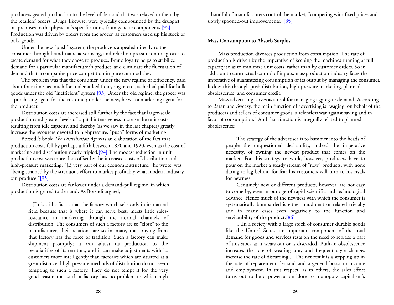producers geared production to the level of demand that was relayed to them by the retailers' orders. Drugs, likewise, were typically compounded by the druggist on-premises to the physician's specifications, from generic components.[92] Production was driven by orders from the grocer, as customers used up his stock of bulk goods.

Under the new "push" system, the producers appealed directly to the consumer through brand-name advertising, and relied on pressure on the grocer to create demand for what they chose to produce. Brand loyalty helps to stabilize demand for a particular manufacturer's product, and eliminate the fluctuation of demand that accompanies price competition in pure commodities.

The problem was that the consumer, under the new regime of Efficiency, paid about four times as much for trademarked flour, sugar, etc., as he had paid for bulk goods under the old "inefficient" system.[93] Under the old regime, the grocer was a purchasing agent for the customer; under the new, he was a marketing agent for the producer.

Distribution costs are increased still further by the fact that larger-scale production and greater levels of capital intensiveness increase the unit costs resulting from idle capacity, and thereby (as we saw in the last chapter) greatly increase the resources devoted to highpressure, "push" forms of marketing.

Borsodi's book The Distribution Age was an elaboration of the fact that production costs fell by perhaps a fifth between 1870 and 1920, even as the cost of marketing and distribution nearly tripled. [94] The modest reduction in unit production cost was more than offset by the increased costs of distribution and high-pressure marketing. "[E]very part of our economic structure," he wrote, was "being strained by the strenuous effort to market profitably what modern industry can produce."[95]

Distribution costs are far lower under a demand-pull regime, in which production is geared to demand. As Borsodi argued,

> ...[I]t is still a fact... that the factory which sells only in its natural field because that is where it can serve best, meets little salesresistance in marketing through the normal channels of distribution. The consumers of such a factory are so "close" to the manufacturer, their relations are so intimate, that buying from that factory has the force of tradition. Such a factory can make shipment promptly; it can adjust its production to the peculiarities of its territory, and it can make adjustments with its customers more intelligently than factories which are situated at a great distance. High pressure methods of distribution do not seem tempting to such a factory. They do not tempt it for the very good reason that such a factory has no problem to which high

a handful of manufacturers control the market, "competing with fixed prices and slowly spooned-out improvements."[85]

#### **Mass Consumption to Absorb Surplus**

Mass production divorces production from consumption. The rate of production is driven by the imperative of keeping the machines running at full capacity so as to minimize unit costs, rather than by customer orders. So in addition to contractual control of inputs, massproduction industry faces the imperative of guaranteeing consumption of its output by managing the consumer. It does this through push distribution, high-pressure marketing, planned obsolescence, and consumer credit.

Mass advertising serves as a tool for managing aggregate demand. According to Baran and Sweezy, the main function of advertising is "waging, on behalf of the producers and sellers of consumer goods, a relentless war against saving and in favor of consumption." And that function is integrally related to planned obsolescence:

> The strategy of the advertiser is to hammer into the heads of people the unquestioned desirability, indeed the imperative necessity, of owning the newest product that comes on the market. For this strategy to work, however, producers have to pour on the market a steady stream of "new" products, with none daring to lag behind for fear his customers will turn to his rivals for newness.

> Genuinely new or different products, however, are not easy to come by, even in our age of rapid scientific and technological advance. Hence much of the newness with which the consumer is systematically bombarded is either fraudulent or related trivially and in many cases even negatively to the function and serviceability of the product.[86]

> ....In a society with a large stock of consumer durable goods like the United States, an important component of the total demand for goods and services rests on the need to replace a part of this stock as it wears out or is discarded. Built-in obsolescence increases the rate of wearing out, and frequent style changes increase the rate of discarding.... The net result is a stepping up in the rate of replacement demand and a general boost to income and employment. In this respect, as in others, the sales effort turns out to be a powerful antidote to monopoly capitalism's